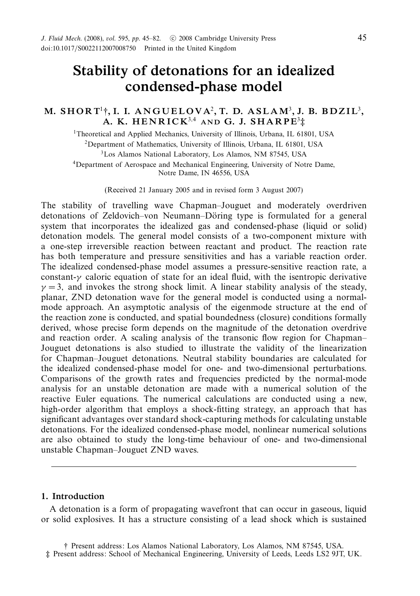# *Stability of detonations for an idealized condensed-phase model*

# *M.* SHORT<sup>1</sup><sup>†</sup>, I. I. ANGUELOVA<sup>2</sup>, T. D. ASLAM<sup>3</sup>, J. B. BDZIL<sup>3</sup>, *A. K. H E N R I C K*<sup>3</sup>*,*<sup>4</sup> *AND G. J. S H A R P E*<sup>3</sup>‡

<sup>1</sup>Theoretical and Applied Mechanics, University of Illinois, Urbana, IL 61801, USA 2Department of Mathematics, University of Illinois, Urbana, IL 61801, USA 3Los Alamos National Laboratory, Los Alamos, NM 87545, USA 4Department of Aerospace and Mechanical Engineering, University of Notre Dame, Notre Dame, IN 46556, USA

(Received 21 January 2005 and in revised form 3 August 2007)

The stability of travelling wave Chapman–Jouguet and moderately overdriven detonations of Zeldovich–von Neumann–Döring type is formulated for a general system that incorporates the idealized gas and condensed-phase (liquid or solid) detonation models. The general model consists of a two-component mixture with a one-step irreversible reaction between reactant and product. The reaction rate has both temperature and pressure sensitivities and has a variable reaction order. The idealized condensed-phase model assumes a pressure-sensitive reaction rate, a constant-*γ* caloric equation of state for an ideal fluid, with the isentropic derivative  $\gamma = 3$ , and invokes the strong shock limit. A linear stability analysis of the steady, planar, ZND detonation wave for the general model is conducted using a normalmode approach. An asymptotic analysis of the eigenmode structure at the end of the reaction zone is conducted, and spatial boundedness (closure) conditions formally derived, whose precise form depends on the magnitude of the detonation overdrive and reaction order. A scaling analysis of the transonic flow region for Chapman– Jouguet detonations is also studied to illustrate the validity of the linearization for Chapman–Jouguet detonations. Neutral stability boundaries are calculated for the idealized condensed-phase model for one- and two-dimensional perturbations. Comparisons of the growth rates and frequencies predicted by the normal-mode analysis for an unstable detonation are made with a numerical solution of the reactive Euler equations. The numerical calculations are conducted using a new, high-order algorithm that employs a shock-fitting strategy, an approach that has significant advantages over standard shock-capturing methods for calculating unstable detonations. For the idealized condensed-phase model, nonlinear numerical solutions are also obtained to study the long-time behaviour of one- and two-dimensional unstable Chapman–Jouguet ZND waves.

# *1. Introduction*

A detonation is a form of propagating wavefront that can occur in gaseous, liquid or solid explosives. It has a structure consisting of a lead shock which is sustained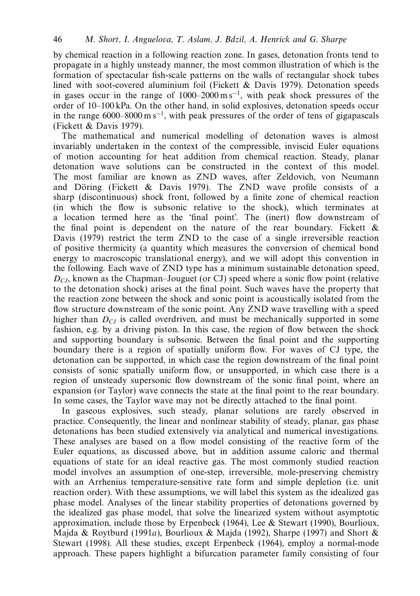by chemical reaction in a following reaction zone. In gases, detonation fronts tend to propagate in a highly unsteady manner, the most common illustration of which is the formation of spectacular fish-scale patterns on the walls of rectangular shock tubes lined with soot-covered aluminium foil (Fickett & Davis 1979). Detonation speeds in gases occur in the range of  $1000-2000 \text{ m s}^{-1}$ , with peak shock pressures of the order of 10–100 kPa. On the other hand, in solid explosives, detonation speeds occur in the range 6000–8000 m s<sup>-1</sup>, with peak pressures of the order of tens of gigapascals (Fickett & Davis 1979).

The mathematical and numerical modelling of detonation waves is almost invariably undertaken in the context of the compressible, inviscid Euler equations of motion accounting for heat addition from chemical reaction. Steady, planar detonation wave solutions can be constructed in the context of this model. The most familiar are known as ZND waves, after Zeldovich, von Neumann and Döring (Fickett  $\&$  Davis 1979). The ZND wave profile consists of a sharp (discontinuous) shock front, followed by a finite zone of chemical reaction (in which the flow is subsonic relative to the shock), which terminates at a location termed here as the 'final point'. The (inert) flow downstream of the final point is dependent on the nature of the rear boundary. Fickett  $\&$ Davis (1979) restrict the term ZND to the case of a single irreversible reaction of positive thermicity (a quantity which measures the conversion of chemical bond energy to macroscopic translational energy), and we will adopt this convention in the following. Each wave of ZND type has a minimum sustainable detonation speed,  $D_{CL}$ , known as the Chapman–Jouguet (or CJ) speed where a sonic flow point (relative to the detonation shock) arises at the final point. Such waves have the property that the reaction zone between the shock and sonic point is acoustically isolated from the flow structure downstream of the sonic point. Any ZND wave travelling with a speed higher than  $D_{CL}$  is called overdriven, and must be mechanically supported in some fashion, e.g. by a driving piston. In this case, the region of flow between the shock and supporting boundary is subsonic. Between the final point and the supporting boundary there is a region of spatially uniform flow. For waves of CJ type, the detonation can be supported, in which case the region downstream of the final point consists of sonic spatially uniform flow, or unsupported, in which case there is a region of unsteady supersonic flow downstream of the sonic final point, where an expansion (or Taylor) wave connects the state at the final point to the rear boundary. In some cases, the Taylor wave may not be directly attached to the final point.

In gaseous explosives, such steady, planar solutions are rarely observed in practice. Consequently, the linear and nonlinear stability of steady, planar, gas phase detonations has been studied extensively via analytical and numerical investigations. These analyses are based on a flow model consisting of the reactive form of the Euler equations, as discussed above, but in addition assume caloric and thermal equations of state for an ideal reactive gas. The most commonly studied reaction model involves an assumption of one-step, irreversible, mole-preserving chemistry with an Arrhenius temperature-sensitive rate form and simple depletion (i.e. unit reaction order). With these assumptions, we will label this system as the idealized gas phase model. Analyses of the linear stability properties of detonations governed by the idealized gas phase model, that solve the linearized system without asymptotic approximation, include those by Erpenbeck (1964), Lee & Stewart (1990), Bourlioux, Majda & Roytburd (1991*a*), Bourlioux & Majda (1992), Sharpe (1997) and Short & Stewart (1998). All these studies, except Erpenbeck (1964), employ a normal-mode approach. These papers highlight a bifurcation parameter family consisting of four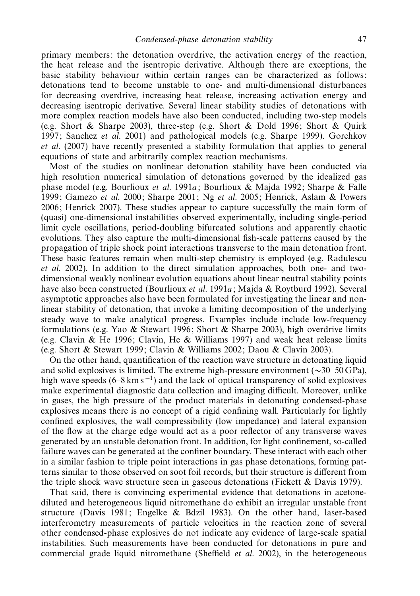primary members: the detonation overdrive, the activation energy of the reaction, the heat release and the isentropic derivative. Although there are exceptions, the basic stability behaviour within certain ranges can be characterized as follows: detonations tend to become unstable to one- and multi-dimensional disturbances for decreasing overdrive, increasing heat release, increasing activation energy and decreasing isentropic derivative. Several linear stability studies of detonations with more complex reaction models have also been conducted, including two-step models (e.g. Short & Sharpe 2003), three-step (e.g. Short & Dold 1996; Short & Quirk 1997; Sanchez et al. 2001) and pathological models (e.g. Sharpe 1999). Gorchkov et al. (2007) have recently presented a stability formulation that applies to general equations of state and arbitrarily complex reaction mechanisms.

Most of the studies on nonlinear detonation stability have been conducted via high resolution numerical simulation of detonations governed by the idealized gas phase model (e.g. Bourlioux et al. 1991*a*; Bourlioux & Majda 1992; Sharpe & Falle 1999; Gamezo et al. 2000; Sharpe 2001; Ng et al. 2005; Henrick, Aslam & Powers 2006; Henrick 2007). These studies appear to capture successfully the main form of (quasi) one-dimensional instabilities observed experimentally, including single-period limit cycle oscillations, period-doubling bifurcated solutions and apparently chaotic evolutions. They also capture the multi-dimensional fish-scale patterns caused by the propagation of triple shock point interactions transverse to the main detonation front. These basic features remain when multi-step chemistry is employed (e.g. Radulescu et al. 2002). In addition to the direct simulation approaches, both one- and twodimensional weakly nonlinear evolution equations about linear neutral stability points have also been constructed (Bourlioux et al. 1991*a*; Majda & Roytburd 1992). Several asymptotic approaches also have been formulated for investigating the linear and nonlinear stability of detonation, that invoke a limiting decomposition of the underlying steady wave to make analytical progress. Examples include include low-frequency formulations (e.g. Yao & Stewart 1996; Short & Sharpe 2003), high overdrive limits (e.g. Clavin & He 1996; Clavin, He & Williams 1997) and weak heat release limits (e.g. Short & Stewart 1999; Clavin & Williams 2002; Daou & Clavin 2003).

On the other hand, quantification of the reaction wave structure in detonating liquid and solid explosives is limited. The extreme high-pressure environment (∼30–50 GPa), high wave speeds  $(6-8 \text{ km s}^{-1})$  and the lack of optical transparency of solid explosives make experimental diagnostic data collection and imaging difficult. Moreover, unlike in gases, the high pressure of the product materials in detonating condensed-phase explosives means there is no concept of a rigid confining wall. Particularly for lightly confined explosives, the wall compressibility (low impedance) and lateral expansion of the flow at the charge edge would act as a poor reflector of any transverse waves generated by an unstable detonation front. In addition, for light confinement, so-called failure waves can be generated at the confiner boundary. These interact with each other in a similar fashion to triple point interactions in gas phase detonations, forming patterns similar to those observed on soot foil records, but their structure is different from the triple shock wave structure seen in gaseous detonations (Fickett & Davis 1979).

That said, there is convincing experimental evidence that detonations in acetonediluted and heterogeneous liquid nitromethane do exhibit an irregular unstable front structure (Davis 1981; Engelke & Bdzil 1983). On the other hand, laser-based interferometry measurements of particle velocities in the reaction zone of several other condensed-phase explosives do not indicate any evidence of large-scale spatial instabilities. Such measurements have been conducted for detonations in pure and commercial grade liquid nitromethane (Sheffield *et al.* 2002), in the heterogeneous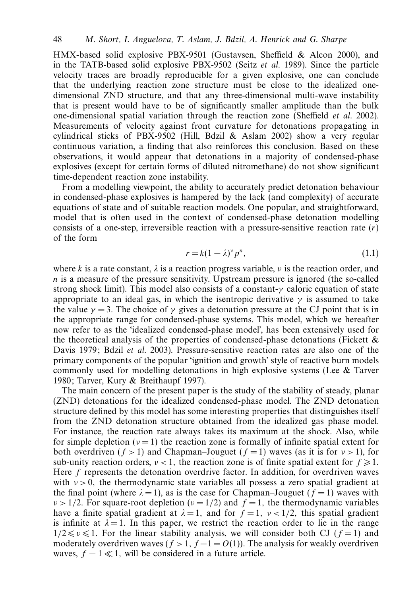HMX-based solid explosive PBX-9501 (Gustavsen, Sheffield & Alcon 2000), and in the TATB-based solid explosive PBX-9502 (Seitz et al. 1989). Since the particle velocity traces are broadly reproducible for a given explosive, one can conclude that the underlying reaction zone structure must be close to the idealized onedimensional ZND structure, and that any three-dimensional multi-wave instability that is present would have to be of significantly smaller amplitude than the bulk one-dimensional spatial variation through the reaction zone (Sheffield et al. 2002). Measurements of velocity against front curvature for detonations propagating in cylindrical sticks of PBX-9502 (Hill, Bdzil  $&$  Aslam 2002) show a very regular continuous variation, a finding that also reinforces this conclusion. Based on these observations, it would appear that detonations in a majority of condensed-phase explosives (except for certain forms of diluted nitromethane) do not show significant time-dependent reaction zone instability.

From a modelling viewpoint, the ability to accurately predict detonation behaviour in condensed-phase explosives is hampered by the lack (and complexity) of accurate equations of state and of suitable reaction models. One popular, and straightforward, model that is often used in the context of condensed-phase detonation modelling consists of a one-step, irreversible reaction with a pressure-sensitive reaction rate (*r*) of the form

$$
r = k(1 - \lambda)^{\nu} p^{n}, \qquad (1.1)
$$

where *k* is a rate constant,  $\lambda$  is a reaction progress variable,  $\nu$  is the reaction order, and *n* is a measure of the pressure sensitivity. Upstream pressure is ignored (the so-called strong shock limit). This model also consists of a constant-*γ* caloric equation of state appropriate to an ideal gas, in which the isentropic derivative  $\gamma$  is assumed to take the value  $\gamma = 3$ . The choice of  $\gamma$  gives a detonation pressure at the CJ point that is in the appropriate range for condensed-phase systems. This model, which we hereafter now refer to as the 'idealized condensed-phase model', has been extensively used for the theoretical analysis of the properties of condensed-phase detonations (Fickett  $\&$ Davis 1979; Bdzil *et al.* 2003). Pressure-sensitive reaction rates are also one of the primary components of the popular 'ignition and growth' style of reactive burn models commonly used for modelling detonations in high explosive systems (Lee & Tarver 1980; Tarver, Kury & Breithaupf 1997).

The main concern of the present paper is the study of the stability of steady, planar (ZND) detonations for the idealized condensed-phase model. The ZND detonation structure defined by this model has some interesting properties that distinguishes itself from the ZND detonation structure obtained from the idealized gas phase model. For instance, the reaction rate always takes its maximum at the shock. Also, while for simple depletion  $(\nu = 1)$  the reaction zone is formally of infinite spatial extent for both overdriven ( $f > 1$ ) and Chapman–Jouguet ( $f = 1$ ) waves (as it is for  $v > 1$ ), for sub-unity reaction orders,  $\nu < 1$ , the reaction zone is of finite spatial extent for  $f \ge 1$ . Here *f* represents the detonation overdrive factor. In addition, for overdriven waves with  $\nu > 0$ , the thermodynamic state variables all possess a zero spatial gradient at the final point (where  $\lambda = 1$ ), as is the case for Chapman–Jouguet ( $f = 1$ ) waves with  $\nu$  > 1/2. For square-root depletion ( $\nu$  = 1/2) and  $f$  = 1, the thermodynamic variables have a finite spatial gradient at  $\lambda = 1$ , and for  $f = 1$ ,  $\nu < 1/2$ , this spatial gradient is infinite at  $\lambda = 1$ . In this paper, we restrict the reaction order to lie in the range  $1/2 \le v \le 1$ . For the linear stability analysis, we will consider both CJ ( $f = 1$ ) and moderately overdriven waves ( $f > 1$ ,  $f - 1 = O(1)$ ). The analysis for weakly overdriven waves,  $f - 1 \ll 1$ , will be considered in a future article.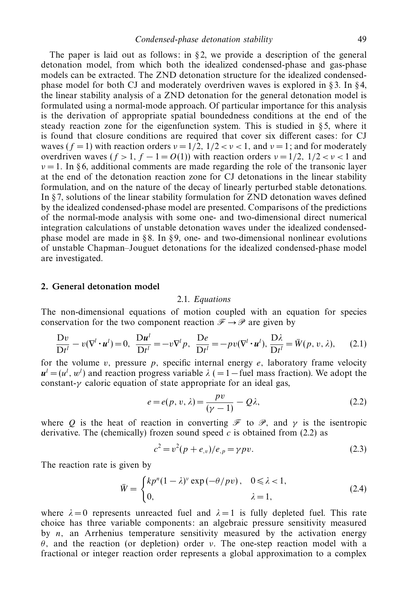The paper is laid out as follows: in  $\S2$ , we provide a description of the general detonation model, from which both the idealized condensed-phase and gas-phase models can be extracted. The ZND detonation structure for the idealized condensedphase model for both CJ and moderately overdriven waves is explored in § 3. In §4, the linear stability analysis of a ZND detonation for the general detonation model is formulated using a normal-mode approach. Of particular importance for this analysis is the derivation of appropriate spatial boundedness conditions at the end of the steady reaction zone for the eigenfunction system. This is studied in  $\S$ 5, where it is found that closure conditions are required that cover six different cases: for CJ waves ( $f = 1$ ) with reaction orders  $v = 1/2$ ,  $1/2 < v < 1$ , and  $v = 1$ ; and for moderately overdriven waves  $(f > 1, f - 1 = O(1))$  with reaction orders  $v = 1/2, 1/2 < v < 1$  and  $\nu = 1$ . In §6, additional comments are made regarding the role of the transonic layer at the end of the detonation reaction zone for CJ detonations in the linear stability formulation, and on the nature of the decay of linearly perturbed stable detonations. In § 7, solutions of the linear stability formulation for ZND detonation waves defined by the idealized condensed-phase model are presented. Comparisons of the predictions of the normal-mode analysis with some one- and two-dimensional direct numerical integration calculations of unstable detonation waves under the idealized condensedphase model are made in §8. In §9, one- and two-dimensional nonlinear evolutions of unstable Chapman–Jouguet detonations for the idealized condensed-phase model are investigated.

# *2. General detonation model*

#### 2.1. Equations

The non-dimensional equations of motion coupled with an equation for species conservation for the two component reaction  $\mathcal{F} \rightarrow \mathcal{P}$  are given by

$$
\frac{\mathbf{D}v}{\mathbf{D}t^{l}} - v(\nabla^{l} \cdot \mathbf{u}^{l}) = 0, \quad \frac{\mathbf{D}\mathbf{u}^{l}}{\mathbf{D}t^{l}} = -v\nabla^{l}p, \quad \frac{\mathbf{D}e}{\mathbf{D}t^{l}} = -pv(\nabla^{l} \cdot \mathbf{u}^{l}), \quad \frac{\mathbf{D}\lambda}{\mathbf{D}t^{l}} = \bar{W}(p, v, \lambda), \tag{2.1}
$$

for the volume *v,* pressure *p,* specific internal energy *e,* laboratory frame velocity  $u^l = (u^l, w^l)$  and reaction progress variable  $\lambda$  (=1−fuel mass fraction). We adopt the constant-*γ* caloric equation of state appropriate for an ideal gas,

$$
e = e(p, v, \lambda) = \frac{pv}{(\gamma - 1)} - Q\lambda,
$$
\n(2.2)

where *Q* is the heat of reaction in converting  $\mathcal F$  to  $\mathcal P$ , and  $\gamma$  is the isentropic derivative. The (chemically) frozen sound speed  $c$  is obtained from  $(2.2)$  as

$$
c^2 = v^2(p + e_{,v})/e_{,p} = \gamma pv.
$$
 (2.3)

The reaction rate is given by

$$
\bar{W} = \begin{cases} kp^n (1 - \lambda)^v \exp(-\theta / pv), & 0 \le \lambda < 1, \\ 0, & \lambda = 1, \end{cases}
$$
 (2.4)

where  $\lambda = 0$  represents unreacted fuel and  $\lambda = 1$  is fully depleted fuel. This rate choice has three variable components: an algebraic pressure sensitivity measured by *n,* an Arrhenius temperature sensitivity measured by the activation energy *θ ,* and the reaction (or depletion) order *ν.* The one-step reaction model with a fractional or integer reaction order represents a global approximation to a complex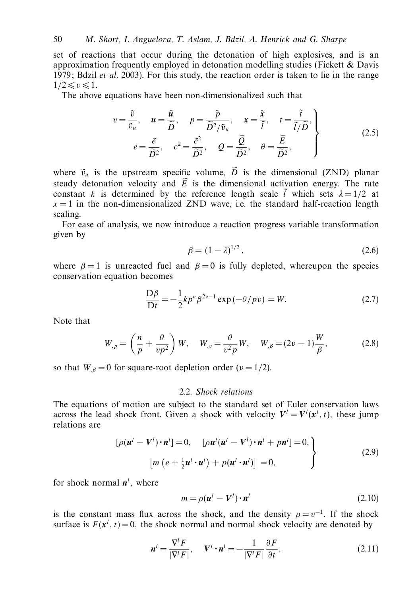set of reactions that occur during the detonation of high explosives, and is an approximation frequently employed in detonation modelling studies (Fickett & Davis 1979; Bdzil *et al.* 2003). For this study, the reaction order is taken to lie in the range  $1/2 \leq v \leq 1$ .

The above equations have been non-dimensionalized such that

$$
v = \frac{\tilde{v}}{\tilde{v}_u}, \quad u = \frac{\tilde{u}}{\tilde{D}}, \quad p = \frac{\tilde{p}}{\tilde{D}^2/\tilde{v}_u}, \quad x = \frac{\tilde{x}}{\tilde{l}}, \quad t = \frac{\tilde{t}}{\tilde{l}/\tilde{D}},
$$

$$
e = \frac{\tilde{e}}{\tilde{D}^2}, \quad c^2 = \frac{\tilde{c}^2}{\tilde{D}^2}, \quad Q = \frac{\tilde{Q}}{\tilde{D}^2}, \quad \theta = \frac{\tilde{E}}{\tilde{D}^2},
$$
(2.5)

where  $\tilde{v}_u$  is the upstream specific volume, *D* is the dimensional (ZND) planar<br>steady detention velocity and  $\tilde{F}$  is the dimensional activation energy. The rate steady detonation velocity and *E* is the dimensional activation energy. The rate constant *k* is determined by the reference length scale  $\tilde{l}$  which sets  $\lambda = 1/2$  at  $x = 1$  in the non-dimensionalized ZND wave, i.e. the standard half-reaction length scaling.

For ease of analysis, we now introduce a reaction progress variable transformation given by

$$
\beta = (1 - \lambda)^{1/2},\tag{2.6}
$$

where  $\beta = 1$  is unreacted fuel and  $\beta = 0$  is fully depleted, whereupon the species conservation equation becomes

$$
\frac{\mathcal{D}\beta}{\mathcal{D}t} = -\frac{1}{2}kp^n\beta^{2\nu-1}\exp\left(-\theta/pv\right) = W.
$$
\n(2.7)

Note that

$$
W_{,p} = \left(\frac{n}{p} + \frac{\theta}{vp^2}\right)W, \quad W_{,v} = \frac{\theta}{v^2p}W, \quad W_{,\beta} = (2\nu - 1)\frac{W}{\beta}, \quad (2.8)
$$

so that  $W_{\beta} = 0$  for square-root depletion order ( $\nu = 1/2$ ).

### 2.2. Shock relations

The equations of motion are subject to the standard set of Euler conservation laws across the lead shock front. Given a shock with velocity  $V^l = V^l(x^l, t)$ , these jump relations are

$$
[\rho(\mathbf{u}^{l} - \mathbf{V}^{l}) \cdot \mathbf{n}^{l}] = 0, \quad [\rho \mathbf{u}^{l}(\mathbf{u}^{l} - \mathbf{V}^{l}) \cdot \mathbf{n}^{l} + p\mathbf{n}^{l}] = 0, \n[m (\mathbf{e} + \frac{1}{2}\mathbf{u}^{l} \cdot \mathbf{u}^{l}) + p(\mathbf{u}^{l} \cdot \mathbf{n}^{l})] = 0,
$$
\n(2.9)

for shock normal  $n^l$ , where

$$
m = \rho(\mathbf{u}^l - \mathbf{V}^l) \cdot \mathbf{n}^l \tag{2.10}
$$

is the constant mass flux across the shock, and the density  $\rho = v^{-1}$ . If the shock surface is  $F(\mathbf{x}^l, t) = 0$ , the shock normal and normal shock velocity are denoted by

$$
\mathbf{n}^{l} = \frac{\nabla^{l} F}{|\nabla^{l} F|}, \quad \mathbf{V}^{l} \cdot \mathbf{n}^{l} = -\frac{1}{|\nabla^{l} F|} \frac{\partial F}{\partial t}.
$$
 (2.11)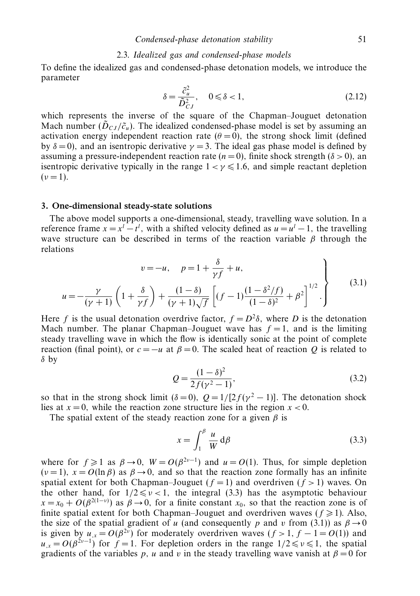# 2.3. Idealized gas and condensed-phase models

To define the idealized gas and condensed-phase detonation models, we introduce the parameter

$$
\delta = \frac{\tilde{c}_u^2}{\tilde{D}_{CJ}^2}, \quad 0 \le \delta < 1,
$$
\n(2.12)

which represents the inverse of the square of the Chapman–Jouguet detonation Mach number  $(\tilde{D}_{CJ}/\tilde{c}_u)$ . The idealized condensed-phase model is set by assuming an activation energy independent reaction rate  $(\theta = 0)$ , the strong shock limit (defined by *δ* = 0)*,* and an isentropic derivative *γ* = 3*.* The ideal gas phase model is defined by assuming a pressure-independent reaction rate  $(n = 0)$ , finite shock strength  $(\delta > 0)$ , an isentropic derivative typically in the range  $1 < \gamma \leq 1.6$ , and simple reactant depletion  $(\nu = 1)$ .

# *3. One-dimensional steady-state solutions*

The above model supports a one-dimensional, steady, travelling wave solution. In a reference frame  $x = x^l - t^l$ , with a shifted velocity defined as  $u = u^l - 1$ , the travelling wave structure can be described in terms of the reaction variable *β* through the relations

$$
v = -u, \quad p = 1 + \frac{\delta}{\gamma f} + u,
$$
  

$$
u = -\frac{\gamma}{(\gamma + 1)} \left( 1 + \frac{\delta}{\gamma f} \right) + \frac{(1 - \delta)}{(\gamma + 1)\sqrt{f}} \left[ (f - 1) \frac{(1 - \delta^2/f)}{(1 - \delta)^2} + \beta^2 \right]^{1/2}.
$$
 (3.1)

Here *f* is the usual detonation overdrive factor,  $f = D^2\delta$ , where *D* is the detonation Mach number. The planar Chapman–Jouguet wave has  $f = 1$ , and is the limiting steady travelling wave in which the flow is identically sonic at the point of complete reaction (final point), or  $c = -u$  at  $\beta = 0$ . The scaled heat of reaction *Q* is related to *δ* by

$$
Q = \frac{(1 - \delta)^2}{2f(\gamma^2 - 1)},
$$
\n(3.2)

so that in the strong shock limit  $(\delta = 0)$ ,  $Q = 1/[2f(\gamma^2 - 1)]$ . The detonation shock lies at  $x = 0$ , while the reaction zone structure lies in the region  $x < 0$ .

The spatial extent of the steady reaction zone for a given *β* is

$$
x = \int_{1}^{\beta} \frac{u}{W} d\beta
$$
 (3.3)

where for  $f \ge 1$  as  $\beta \to 0$ ,  $W = O(\beta^{2\nu-1})$  and  $u = O(1)$ . Thus, for simple depletion  $(v=1)$ ,  $x = O(\ln \beta)$  as  $\beta \rightarrow 0$ , and so that the reaction zone formally has an infinite spatial extent for both Chapman–Jouguet ( $f = 1$ ) and overdriven ( $f > 1$ ) waves. On the other hand, for  $1/2 \le v < 1$ , the integral (3.3) has the asymptotic behaviour  $x = x_0 + O(\beta^{2(1-\nu)})$  as  $\beta \to 0$ , for a finite constant  $x_0$ , so that the reaction zone is of finite spatial extent for both Chapman–Jouguet and overdriven waves ( $f \ge 1$ ). Also, the size of the spatial gradient of *u* (and consequently *p* and *v* from (3.1)) as  $\beta \rightarrow 0$ is given by  $u_x = O(\beta^{2\nu})$  for moderately overdriven waves  $(f > 1, f - 1 = O(1))$  and  $u_{1,x} = O(\beta^{2\nu-1})$  for  $f = 1$ . For depletion orders in the range  $1/2 \le \nu \le 1$ , the spatial gradients of the variables *p*, *u* and *v* in the steady travelling wave vanish at  $\beta = 0$  for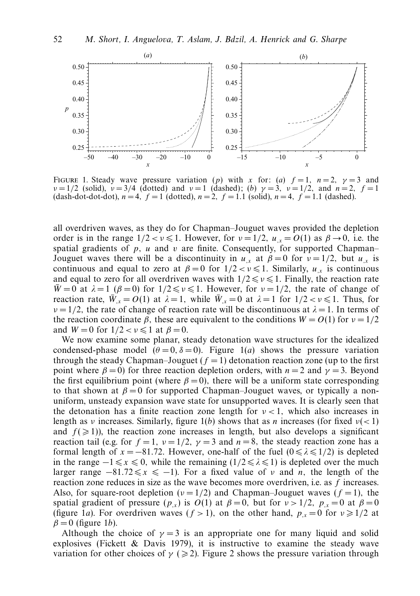

FIGURE 1. Steady wave pressure variation (*p*) with *x* for: (*a*)  $f = 1$ ,  $n = 2$ ,  $\gamma = 3$  and *ν* = 1*/*2 (solid), *ν* = 3*/*4 (dotted) and *ν* = 1 (dashed); (b) *γ* = 3*, ν* = 1*/*2*,* and *n* = 2*, f* = 1 (dash-dot-dot-dot),  $n = 4$ ,  $f = 1$  (dotted),  $n = 2$ ,  $f = 1.1$  (solid),  $n = 4$ ,  $f = 1.1$  (dashed).

all overdriven waves, as they do for Chapman–Jouguet waves provided the depletion order is in the range  $1/2 < v \le 1$ . However, for  $v = 1/2$ ,  $u_{,x} = O(1)$  as  $\beta \to 0$ , i.e. the spatial gradients of *p, u* and *v* are finite. Consequently, for supported Chapman– Jouguet waves there will be a discontinuity in  $u_{x}$  at  $\beta = 0$  for  $v = 1/2$ , but  $u_{x}$  is continuous and equal to zero at  $\beta = 0$  for  $1/2 < \nu \le 1$ . Similarly,  $u_{,x}$  is continuous and equal to zero for all overdriven waves with  $1/2 \le v \le 1$ . Finally, the reaction rate  $\bar{W} = 0$  at  $\lambda = 1$  ( $\beta = 0$ ) for  $1/2 \le v \le 1$ . However, for  $v = 1/2$ , the rate of change of reaction rate,  $\overline{W}_{x} = O(1)$  at  $\lambda = 1$ , while  $\overline{W}_{x} = 0$  at  $\lambda = 1$  for  $1/2 < \nu \le 1$ . Thus, for  $\nu = 1/2$ , the rate of change of reaction rate will be discontinuous at  $\lambda = 1$ . In terms of the reaction coordinate  $\beta$ , these are equivalent to the conditions  $W = O(1)$  for  $\nu = 1/2$ and  $W = 0$  for  $1/2 < v \le 1$  at  $\beta = 0$ .

We now examine some planar, steady detonation wave structures for the idealized condensed-phase model ( $\theta = 0$ ,  $\delta = 0$ ). Figure 1(a) shows the pressure variation through the steady Chapman–Jouguet  $(f = 1)$  detonation reaction zone (up to the first point where  $\beta = 0$ ) for three reaction depletion orders, with  $n = 2$  and  $\gamma = 3$ . Beyond the first equilibrium point (where  $\beta = 0$ ), there will be a uniform state corresponding to that shown at  $\beta = 0$  for supported Chapman–Jouguet waves, or typically a nonuniform, unsteady expansion wave state for unsupported waves. It is clearly seen that the detonation has a finite reaction zone length for *ν <* 1*,* which also increases in length as *ν* increases. Similarly, figure 1(b) shows that as *n* increases (for fixed  $\nu(<1)$ ) and  $f(\geq 1)$ , the reaction zone increases in length, but also develops a significant reaction tail (e.g. for  $f = 1$ ,  $\nu = 1/2$ ,  $\nu = 3$  and  $n = 8$ , the steady reaction zone has a formal length of  $x = -81.72$ . However, one-half of the fuel  $(0 \le \lambda \le 1/2)$  is depleted in the range  $-1 \le x \le 0$ , while the remaining  $(1/2 \le \lambda \le 1)$  is depleted over the much larger range  $-81.72 \le x \le -1$ ). For a fixed value of *ν* and *n*, the length of the reaction zone reduces in size as the wave becomes more overdriven, i.e. as *f* increases. Also, for square-root depletion ( $\nu = 1/2$ ) and Chapman–Jouguet waves ( $f = 1$ ), the spatial gradient of pressure  $(p_{,x})$  is  $O(1)$  at  $\beta = 0$ , but for  $v > 1/2$ ,  $p_{,x} = 0$  at  $\beta = 0$ (figure 1*a*). For overdriven waves ( $f > 1$ ), on the other hand,  $p_x = 0$  for  $v \ge 1/2$  at  $\beta = 0$  (figure 1*b*).

Although the choice of  $\gamma = 3$  is an appropriate one for many liquid and solid explosives (Fickett  $\&$  Davis 1979), it is instructive to examine the steady wave variation for other choices of  $\gamma$  (  $\geq$  2). Figure 2 shows the pressure variation through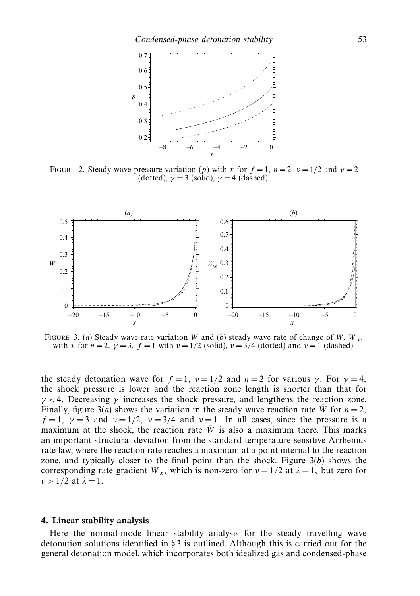

FIGURE 2. Steady wave pressure variation (*p*) with *x* for  $f = 1$ ,  $n = 2$ ,  $v = 1/2$  and  $\gamma = 2$ (dotted),  $\gamma = 3$  (solid),  $\gamma = 4$  (dashed).



FIGURE 3. (a) Steady wave rate variation  $\bar{W}$  and (b) steady wave rate of change of  $\bar{W}$ ,  $\bar{W}$ <sub>r</sub>, with *x* for  $n = 2$ ,  $\gamma = 3$ ,  $f = 1$  with  $\nu = 1/2$  (solid),  $\nu = 3/4$  (dotted) and  $\nu = 1$  (dashed).

the steady detonation wave for  $f = 1$ ,  $v = 1/2$  and  $n = 2$  for various  $\gamma$ . For  $\gamma = 4$ , the shock pressure is lower and the reaction zone length is shorter than that for  $\gamma$  < 4. Decreasing  $\gamma$  increases the shock pressure, and lengthens the reaction zone. Finally, figure 3(*a*) shows the variation in the steady wave reaction rate  $\overline{W}$  for  $n = 2$ , *f* = 1,  $\nu = 3$  and  $\nu = 1/2$ ,  $\nu = 3/4$  and  $\nu = 1$ . In all cases, since the pressure is a maximum at the shock, the reaction rate  $\bar{W}$  is also a maximum there. This marks an important structural deviation from the standard temperature-sensitive Arrhenius rate law, where the reaction rate reaches a maximum at a point internal to the reaction zone, and typically closer to the final point than the shock. Figure  $3(b)$  shows the corresponding rate gradient  $\bar{W}_x$ , which is non-zero for  $v = 1/2$  at  $\lambda = 1$ , but zero for *ν* > 1/2 at  $λ = 1$ .

#### *4. Linear stability analysis*

Here the normal-mode linear stability analysis for the steady travelling wave detonation solutions identified in § 3 is outlined. Although this is carried out for the general detonation model, which incorporates both idealized gas and condensed-phase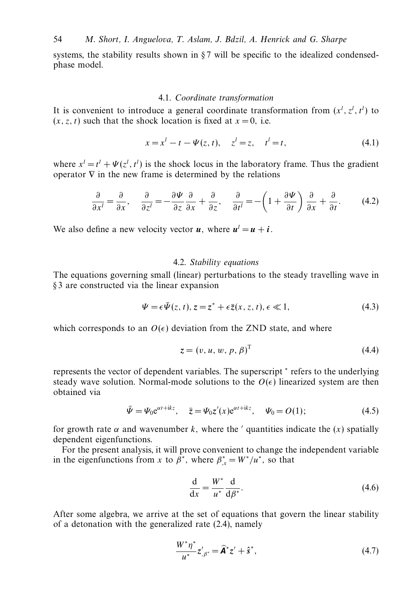systems, the stability results shown in  $\S 7$  will be specific to the idealized condensedphase model.

# 4.1. Coordinate transformation

It is convenient to introduce a general coordinate transformation from  $(x^l, z^l, t^l)$  to  $(x, z, t)$  such that the shock location is fixed at  $x = 0$ , i.e.

$$
x = xl - t - \Psi(z, t), \quad zl = z, \quad tl = t,
$$
\n(4.1)

where  $x^l = t^l + \Psi(z^l, t^l)$  is the shock locus in the laboratory frame. Thus the gradient operator  $\nabla$  in the new frame is determined by the relations

$$
\frac{\partial}{\partial x^l} = \frac{\partial}{\partial x}, \quad \frac{\partial}{\partial z^l} = -\frac{\partial \Psi}{\partial z} \frac{\partial}{\partial x} + \frac{\partial}{\partial z}, \quad \frac{\partial}{\partial t^l} = -\left(1 + \frac{\partial \Psi}{\partial t}\right) \frac{\partial}{\partial x} + \frac{\partial}{\partial t}.
$$
(4.2)

We also define a new velocity vector  $u$ , where  $u^l = u + i$ .

# 4.2. Stability equations

The equations governing small (linear) perturbations to the steady travelling wave in § 3 are constructed via the linear expansion

$$
\Psi = \epsilon \bar{\Psi}(z, t), z = z^* + \epsilon \bar{z}(x, z, t), \epsilon \ll 1,
$$
\n(4.3)

which corresponds to an  $O(\epsilon)$  deviation from the ZND state, and where

$$
z = (v, u, w, p, \beta)^{\mathrm{T}}
$$
\n
$$
(4.4)
$$

represents the vector of dependent variables. The superscript <sup>∗</sup> refers to the underlying steady wave solution. Normal-mode solutions to the  $O(\epsilon)$  linearized system are then obtained via

$$
\bar{\Psi} = \Psi_0 e^{\alpha t + ikz}, \quad \bar{z} = \Psi_0 z'(x) e^{\alpha t + ikz}, \quad \Psi_0 = O(1); \tag{4.5}
$$

for growth rate  $\alpha$  and wavenumber  $k$ , where the ' quantities indicate the  $(x)$  spatially dependent eigenfunctions.

For the present analysis, it will prove convenient to change the independent variable in the eigenfunctions from *x* to  $\beta^*$ , where  $\beta^*_{,x} = W^*/u^*$ , so that

$$
\frac{\mathrm{d}}{\mathrm{d}x} = \frac{W^*}{u^*} \frac{\mathrm{d}}{\mathrm{d}\beta^*}.\tag{4.6}
$$

After some algebra, we arrive at the set of equations that govern the linear stability of a detonation with the generalized rate (2.4), namely

$$
\frac{W^*\eta^*}{u^*}z'_{,\beta^*} = \widehat{\mathbf{A}}^*z' + \hat{s}^*,
$$
\n(4.7)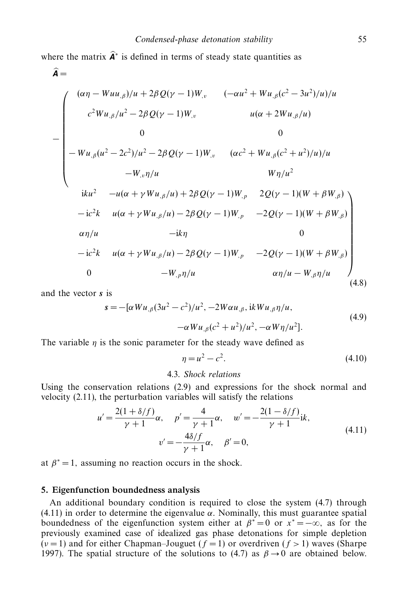where the matrix  $\hat{A}^*$  is defined in terms of steady state quantities as  $\hat{A} =$ 

$$
-\begin{pmatrix}\n(\alpha \eta - W u u_{,\beta})/u + 2\beta Q(\gamma - 1)W_{,\nu} & (-\alpha u^2 + W u_{,\beta}(c^2 - 3u^2)/u)/u \\
c^2 W u_{,\beta}/u^2 - 2\beta Q(\gamma - 1)W_{,\nu} & u(\alpha + 2W u_{,\beta}/u) \\
0 & 0 & 0 \\
-W u_{,\beta}(u^2 - 2c^2)/u^2 - 2\beta Q(\gamma - 1)W_{,\nu} & (\alpha c^2 + W u_{,\beta}(c^2 + u^2)/u)/u \\
-W_{,\nu} \eta/u & W_{\eta}/u^2\n\end{pmatrix}
$$
\n
$$
-ic^2 k \quad u(\alpha + \gamma W u_{,\beta}/u) + 2\beta Q(\gamma - 1)W_{,\rho} \quad 2Q(\gamma - 1)(W + \beta W_{,\beta})
$$
\n
$$
-\frac{ic^2 k}{\alpha \eta / u} \quad -\frac{ik\eta}{\alpha \eta / u} \quad 0
$$
\n
$$
-ic^2 k \quad u(\alpha + \gamma W u_{,\beta}/u) - 2\beta Q(\gamma - 1)W_{,\rho} \quad -2Q(\gamma - 1)(W + \beta W_{,\beta})
$$
\n
$$
-\frac{ik\eta}{\alpha \eta / u} \quad -\frac{ik\eta}{\alpha \eta / u} \quad 0
$$
\n
$$
-W_{,\rho} \eta / u \quad \alpha \eta / u - W_{,\beta} \eta / u \quad (4.8)
$$

and the vector *s* is

$$
s = -[\alpha Wu_{,\beta}(3u^2 - c^2)/u^2, -2W\alpha u_{,\beta}, ikWu_{,\beta}\eta/u, -\alpha Wu_{,\beta}(c^2 + u^2)/u^2, -\alpha W\eta/u^2].
$$
\n(4.9)

The variable  $\eta$  is the sonic parameter for the steady wave defined as

$$
\eta = u^2 - c^2. \tag{4.10}
$$

# 4.3. Shock relations

Using the conservation relations (2.9) and expressions for the shock normal and velocity (2.11), the perturbation variables will satisfy the relations

$$
u' = \frac{2(1 + \delta/f)}{\gamma + 1} \alpha, \quad p' = \frac{4}{\gamma + 1} \alpha, \quad w' = -\frac{2(1 - \delta/f)}{\gamma + 1} ik,
$$
  

$$
v' = -\frac{4\delta/f}{\gamma + 1} \alpha, \quad \beta' = 0,
$$
 (4.11)

at  $\beta^* = 1$ , assuming no reaction occurs in the shock.

# *5. Eigenfunction boundedness analysis*

An additional boundary condition is required to close the system (4.7) through (4.11) in order to determine the eigenvalue *α.* Nominally, this must guarantee spatial boundedness of the eigenfunction system either at  $\beta^* = 0$  or  $x^* = -\infty$ , as for the previously examined case of idealized gas phase detonations for simple depletion  $\overline{(v=1)}$  and for either Chapman–Jouguet ( $\overline{f=1}$ ) or overdriven ( $\overline{f>1}$ ) waves (Sharpe 1997). The spatial structure of the solutions to (4.7) as  $\beta \rightarrow 0$  are obtained below.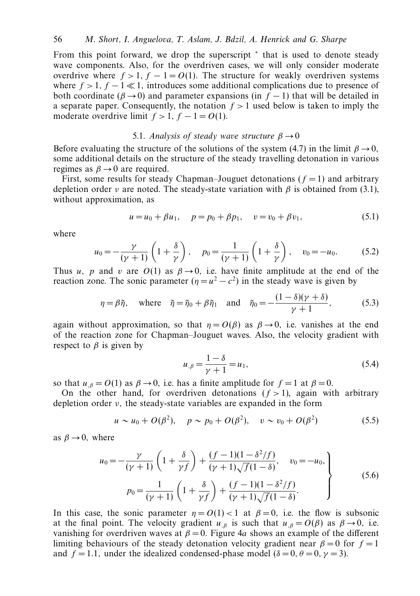From this point forward, we drop the superscript  $*$  that is used to denote steady wave components. Also, for the overdriven cases, we will only consider moderate overdrive where  $f > 1$ ,  $f - 1 = O(1)$ . The structure for weakly overdriven systems where  $f > 1$ ,  $f - 1 \ll 1$ , introduces some additional complications due to presence of both coordinate ( $\beta \rightarrow 0$ ) and parameter expansions (in  $f - 1$ ) that will be detailed in a separate paper. Consequently, the notation  $f > 1$  used below is taken to imply the moderate overdrive limit  $f > 1$ ,  $f - 1 = O(1)$ .

#### 5.1. *Analysis of steady wave structure β* → 0

Before evaluating the structure of the solutions of the system (4.7) in the limit  $\beta \rightarrow 0$ , some additional details on the structure of the steady travelling detonation in various regimes as  $\beta \rightarrow 0$  are required.

First, some results for steady Chapman–Jouguet detonations  $(f = 1)$  and arbitrary depletion order *v* are noted. The steady-state variation with  $\beta$  is obtained from (3.1), without approximation, as

$$
u = u_0 + \beta u_1, \quad p = p_0 + \beta p_1, \quad v = v_0 + \beta v_1,\tag{5.1}
$$

where

$$
u_0 = -\frac{\gamma}{(\gamma + 1)} \left( 1 + \frac{\delta}{\gamma} \right), \quad p_0 = \frac{1}{(\gamma + 1)} \left( 1 + \frac{\delta}{\gamma} \right), \quad v_0 = -u_0.
$$
 (5.2)

Thus *u, p* and *v* are  $O(1)$  as  $\beta \rightarrow 0$ , i.e. have finite amplitude at the end of the reaction zone. The sonic parameter  $(\eta = u^2 - c^2)$  in the steady wave is given by

$$
\eta = \beta \tilde{\eta}
$$
, where  $\tilde{\eta} = \tilde{\eta}_0 + \beta \tilde{\eta}_1$  and  $\tilde{\eta}_0 = -\frac{(1-\delta)(\gamma+\delta)}{\gamma+1}$ , (5.3)

again without approximation, so that  $\eta = O(\beta)$  as  $\beta \rightarrow 0$ , i.e. vanishes at the end of the reaction zone for Chapman–Jouguet waves. Also, the velocity gradient with respect to  $\beta$  is given by

$$
u_{,\beta} = \frac{1-\delta}{\gamma+1} = u_1,\tag{5.4}
$$

so that  $u_{,\beta} = O(1)$  as  $\beta \rightarrow 0$ , i.e. has a finite amplitude for  $f = 1$  at  $\beta = 0$ .

On the other hand, for overdriven detonations  $(f > 1)$ , again with arbitrary depletion order *ν,* the steady-state variables are expanded in the form

$$
u \sim u_0 + O(\beta^2)
$$
,  $p \sim p_0 + O(\beta^2)$ ,  $v \sim v_0 + O(\beta^2)$  (5.5)

as  $\beta \rightarrow 0$ , where

$$
u_0 = -\frac{\gamma}{(\gamma + 1)} \left( 1 + \frac{\delta}{\gamma f} \right) + \frac{(f - 1)(1 - \delta^2/f)}{(\gamma + 1)\sqrt{f}(1 - \delta)}, \quad v_0 = -u_0,
$$
  

$$
p_0 = \frac{1}{(\gamma + 1)} \left( 1 + \frac{\delta}{\gamma f} \right) + \frac{(f - 1)(1 - \delta^2/f)}{(\gamma + 1)\sqrt{f}(1 - \delta)}.
$$
 (5.6)

In this case, the sonic parameter  $\eta = O(1) < 1$  at  $\beta = 0$ , i.e. the flow is subsonic at the final point. The velocity gradient  $u_{\beta}$  is such that  $u_{\beta} = O(\beta)$  as  $\beta \rightarrow 0$ , i.e. vanishing for overdriven waves at  $\beta = 0$ . Figure 4*a* shows an example of the different limiting behaviours of the steady detonation velocity gradient near  $\beta = 0$  for  $f = 1$ and  $f = 1.1$ , under the idealized condensed-phase model ( $\delta = 0, \theta = 0, \gamma = 3$ ).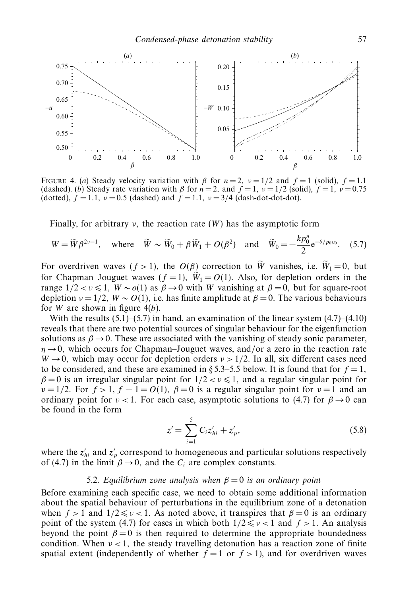

FIGURE 4. (a) Steady velocity variation with *β* for  $n = 2$ ,  $\nu = 1/2$  and  $f = 1$  (solid),  $f = 1.1$ (dashed). (b) Steady rate variation with  $\beta$  for  $n = 2$ , and  $f = 1$ ,  $\nu = 1/2$  (solid),  $f = 1$ ,  $\nu = 0.75$ (dotted),  $f = 1.1$ ,  $v = 0.5$  (dashed) and  $f = 1.1$ ,  $v = 3/4$  (dash-dot-dot-dot).

Finally, for arbitrary *ν,* the reaction rate (*W*) has the asymptotic form

$$
W = \widetilde{W}\beta^{2\nu - 1}, \quad \text{where} \quad \widetilde{W} \sim \widetilde{W}_0 + \beta \widetilde{W}_1 + O(\beta^2) \quad \text{and} \quad \widetilde{W}_0 = -\frac{k p_0^n}{2} e^{-\theta/p_0 v_0}.
$$
 (5.7)

For overdriven waves  $(f > 1)$ , the  $O(\beta)$  correction to *W* vanishes, i.e.  $W_1 = 0$ , but for Chapman–Jouguet waves  $(f = 1)$ ,  $W_1 = O(1)$ . Also, for depletion orders in the range  $1/2 < v \le 1$ ,  $W \sim o(1)$  as  $\beta \to 0$  with *W* vanishing at  $\beta = 0$ , but for square-root depletion  $\nu = 1/2$ ,  $W \sim O(1)$ , i.e. has finite amplitude at  $\beta = 0$ . The various behaviours for *W* are shown in figure 4(*b*).

With the results  $(5.1)$ – $(5.7)$  in hand, an examination of the linear system  $(4.7)$ – $(4.10)$ reveals that there are two potential sources of singular behaviour for the eigenfunction solutions as  $\beta \rightarrow 0$ . These are associated with the vanishing of steady sonic parameter, *η* → 0, which occurs for Chapman–Jouguet waves, and/or a zero in the reaction rate  $W \rightarrow 0$ , which may occur for depletion orders  $v > 1/2$ . In all, six different cases need to be considered, and these are examined in § 5.3–5.5 below. It is found that for  $f = 1$ , *β* = 0 is an irregular singular point for  $1/2 < v ≤ 1$ , and a regular singular point for  $\nu = 1/2$ *.* For  $f > 1$ ,  $f - 1 = O(1)$ ,  $\beta = 0$  is a regular singular point for  $\nu = 1$  and an ordinary point for  $\nu < 1$ . For each case, asymptotic solutions to (4.7) for  $\beta \rightarrow 0$  can be found in the form

$$
z' = \sum_{i=1}^{5} C_i z'_{hi} + z'_p, \tag{5.8}
$$

where the  $z'_{hi}$  and  $z'_{p}$  correspond to homogeneous and particular solutions respectively of (4.7) in the limit  $\beta \rightarrow 0$ , and the  $C_i$  are complex constants.

#### 5.2. Equilibrium zone analysis when  $\beta = 0$  is an ordinary point

Before examining each specific case, we need to obtain some additional information about the spatial behaviour of perturbations in the equilibrium zone of a detonation when  $f > 1$  and  $1/2 \le v < 1$ . As noted above, it transpires that  $\beta = 0$  is an ordinary point of the system (4.7) for cases in which both  $1/2 \le v < 1$  and  $f > 1$ . An analysis beyond the point  $\beta = 0$  is then required to determine the appropriate boundedness condition. When  $\nu < 1$ , the steady travelling detonation has a reaction zone of finite spatial extent (independently of whether  $f = 1$  or  $f > 1$ ), and for overdriven waves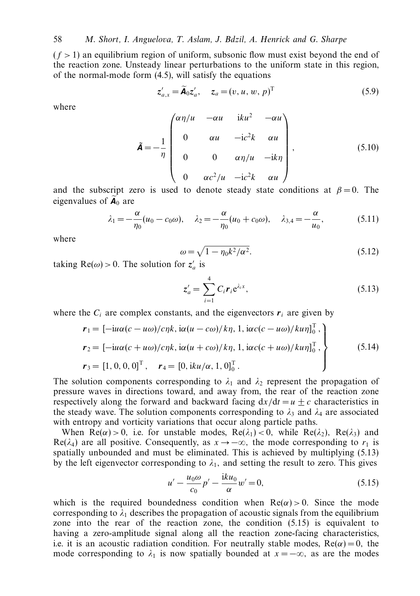(*f >* 1) an equilibrium region of uniform, subsonic flow must exist beyond the end of the reaction zone. Unsteady linear perturbations to the uniform state in this region, of the normal-mode form (4.5), will satisfy the equations

$$
\mathbf{z}_{a,x}' = \mathbf{A}_0 \mathbf{z}_a', \quad \mathbf{z}_a = (v, u, w, p)^{\mathrm{T}}
$$
 (5.9)

where

$$
\tilde{A} = -\frac{1}{\eta} \begin{pmatrix} \alpha \eta / u & -\alpha u & \mathrm{i} k u^2 & -\alpha u \\ 0 & \alpha u & -\mathrm{i} c^2 k & \alpha u \\ 0 & 0 & \alpha \eta / u & -\mathrm{i} k \eta \\ 0 & \alpha c^2 / u & -\mathrm{i} c^2 k & \alpha u \end{pmatrix},\tag{5.10}
$$

and the subscript zero is used to denote steady state conditions at  $\beta = 0$ . The eigenvalues of  $A_0$  are

$$
\lambda_1 = -\frac{\alpha}{\eta_0}(u_0 - c_0\omega), \quad \lambda_2 = -\frac{\alpha}{\eta_0}(u_0 + c_0\omega), \quad \lambda_{3,4} = -\frac{\alpha}{u_0}, \quad (5.11)
$$

where

$$
\omega = \sqrt{1 - \eta_0 k^2 / \alpha^2}.\tag{5.12}
$$

taking  $Re(\omega) > 0$ . The solution for  $z'_a$  is

$$
z'_a = \sum_{i=1}^4 C_i r_i e^{\lambda_i x}, \qquad (5.13)
$$

where the  $C_i$  are complex constants, and the eigenvectors  $r_i$  are given by

$$
\mathbf{r}_1 = \left[ -i u \alpha (c - u \omega) / c \eta k, i \alpha (u - c \omega) / k \eta, 1, i \alpha c (c - u \omega) / k u \eta \right]_0^T,
$$
\n
$$
\mathbf{r}_2 = \left[ -i u \alpha (c + u \omega) / c \eta k, i \alpha (u + c \omega) / k \eta, 1, i \alpha c (c + u \omega) / k u \eta \right]_0^T,
$$
\n
$$
\mathbf{r}_3 = \left[ 1, 0, 0, 0 \right]_0^T, \quad \mathbf{r}_4 = \left[ 0, i k u / \alpha, 1, 0 \right]_0^T.
$$
\n(5.14)

The solution components corresponding to  $\lambda_1$  and  $\lambda_2$  represent the propagation of pressure waves in directions toward, and away from, the rear of the reaction zone respectively along the forward and backward facing  $dx/dt = u \pm c$  characteristics in the steady wave. The solution components corresponding to  $\lambda_3$  and  $\lambda_4$  are associated with entropy and vorticity variations that occur along particle paths.

When  $\text{Re}(\alpha) > 0$ , i.e. for unstable modes,  $\text{Re}(\lambda_1) < 0$ , while  $\text{Re}(\lambda_2)$ ,  $\text{Re}(\lambda_3)$  and  $Re(\lambda_4)$  are all positive. Consequently, as  $x \to -\infty$ , the mode corresponding to  $r_1$  is spatially unbounded and must be eliminated. This is achieved by multiplying (5.13) by the left eigenvector corresponding to  $\lambda_1$ , and setting the result to zero. This gives

$$
u' - \frac{u_0 \omega}{c_0} p' - \frac{ik u_0}{\alpha} w' = 0,
$$
\n(5.15)

which is the required boundedness condition when  $Re(\alpha) > 0$ . Since the mode corresponding to  $\lambda_1$  describes the propagation of acoustic signals from the equilibrium zone into the rear of the reaction zone, the condition (5.15) is equivalent to having a zero-amplitude signal along all the reaction zone-facing characteristics, i.e. it is an acoustic radiation condition. For neutrally stable modes,  $Re(\alpha) = 0$ , the mode corresponding to  $\lambda_1$  is now spatially bounded at  $x = -\infty$ , as are the modes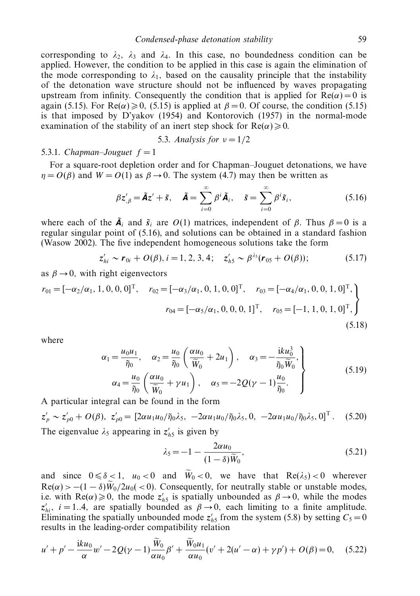corresponding to  $\lambda_2$ ,  $\lambda_3$  and  $\lambda_4$ . In this case, no boundedness condition can be applied. However, the condition to be applied in this case is again the elimination of the mode corresponding to  $\lambda_1$ , based on the causality principle that the instability of the detonation wave structure should not be influenced by waves propagating upstream from infinity. Consequently the condition that is applied for  $\text{Re}(\alpha) = 0$  is again (5.15). For Re( $\alpha$ )  $\geq$  0, (5.15) is applied at  $\beta$  = 0. Of course, the condition (5.15) is that imposed by D'yakov (1954) and Kontorovich (1957) in the normal-mode examination of the stability of an inert step shock for  $\text{Re}(\alpha) \geq 0$ .

5.3. Analysis for 
$$
v = 1/2
$$

## 5.3.1. Chapman–Jouguet  $f = 1$

For a square-root depletion order and for Chapman–Jouguet detonations, we have  $\eta = O(\beta)$  and  $W = O(1)$  as  $\beta \rightarrow 0$ . The system (4.7) may then be written as

$$
\beta z'_{,\beta} = \tilde{\mathbf{A}} z' + \tilde{s}, \quad \tilde{\mathbf{A}} = \sum_{i=0}^{\infty} \beta^i \tilde{\mathbf{A}}_i, \quad \tilde{s} = \sum_{i=0}^{\infty} \beta^i \tilde{s}_i,
$$
 (5.16)

where each of the  $\tilde{A}_i$  and  $\tilde{s}_i$  are  $O(1)$  matrices, independent of  $\beta$ . Thus  $\beta = 0$  is a regular singular point of (5.16), and solutions can be obtained in a standard fashion (Wasow 2002). The five independent homogeneous solutions take the form

$$
z'_{hi} \sim r_{0i} + O(\beta), i = 1, 2, 3, 4; \quad z'_{h5} \sim \beta^{\lambda_5} (r_{05} + O(\beta)); \tag{5.17}
$$

as  $\beta \rightarrow 0$ , with right eigenvectors

$$
r_{01} = [-\alpha_2/\alpha_1, 1, 0, 0, 0]^{\mathrm{T}}, \quad r_{02} = [-\alpha_3/\alpha_1, 0, 1, 0, 0]^{\mathrm{T}}, \quad r_{03} = [-\alpha_4/\alpha_1, 0, 0, 1, 0]^{\mathrm{T}},
$$

$$
r_{04} = [-\alpha_5/\alpha_1, 0, 0, 0, 1]^{\mathrm{T}}, \quad r_{05} = [-1, 1, 0, 1, 0]^{\mathrm{T}},
$$
(5.18)

where

$$
\alpha_1 = \frac{u_0 u_1}{\tilde{\eta}_0}, \quad \alpha_2 = \frac{u_0}{\tilde{\eta}_0} \left( \frac{\alpha u_0}{\tilde{W}_0} + 2u_1 \right), \quad \alpha_3 = -\frac{\mathrm{i} k u_0^3}{\tilde{\eta}_0 \tilde{W}_0},
$$
\n
$$
\alpha_4 = \frac{u_0}{\tilde{\eta}_0} \left( \frac{\alpha u_0}{\tilde{W}_0} + \gamma u_1 \right), \quad \alpha_5 = -2Q(\gamma - 1)\frac{u_0}{\tilde{\eta}_0}.
$$
\n(5.19)

 $\ddot{\eta}_0 \, \setminus \, W_0$ <br>A particular integral can be found in the form

$$
z'_p \sim z'_{p0} + O(\beta), \ z'_{p0} = [2\alpha u_1 u_0/\tilde{\eta}_0 \lambda_5, -2\alpha u_1 u_0/\tilde{\eta}_0 \lambda_5, 0, -2\alpha u_1 u_0/\tilde{\eta}_0 \lambda_5, 0]^\text{T}.
$$
 (5.20)  
The eigenvalue  $\lambda_5$  appearing in  $z'_{h5}$  is given by

$$
\lambda_5 = -1 - \frac{2\alpha u_0}{(1 - \delta)\widetilde{W}_0},\tag{5.21}
$$

and since  $0 \le \delta < 1$ ,  $u_0 < 0$  and  $W_0 < 0$ , we have that  $\text{Re}(\lambda_5) < 0$  wherever  $Re(\alpha) > -(1 - \delta)W_0/2u_0 \le 0$ . Consequently, for neutrally stable or unstable modes, i.e. with  $\text{Re}(\alpha) \ge 0$ , the mode  $z'_{h5}$  is spatially unbounded as  $\beta \to 0$ , while the modes  $z'_{hi}$ ,  $i = 1..4$ , are spatially bounded as  $\beta \rightarrow 0$ , each limiting to a finite amplitude. Eliminating the spatially unbounded mode  $z'_{h5}$  from the system (5.8) by setting  $C_5 = 0$ results in the leading-order compatibility relation

$$
u' + p' - \frac{iku_0}{\alpha}w' - 2Q(\gamma - 1)\frac{\dot{W}_0}{\alpha u_0}\beta' + \frac{\dot{W}_0u_1}{\alpha u_0}(v' + 2(u' - \alpha) + \gamma p') + O(\beta) = 0, \quad (5.22)
$$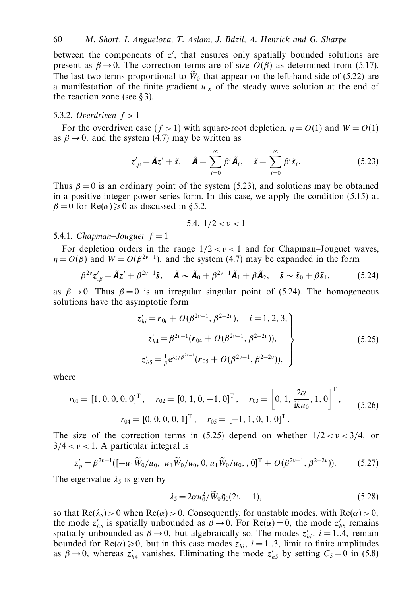between the components of *z* , that ensures only spatially bounded solutions are present as  $\beta \rightarrow 0$ . The correction terms are of size  $O(\beta)$  as determined from (5.17). The last two terms proportional to  $W_0$  that appear on the left-hand side of (5.22) are<br>a manifestation of the finite gradient  $w_0$  of the steady wave solution at the and of a manifestation of the finite gradient  $u_x$  of the steady wave solution at the end of the reaction zone (see  $\S 3$ ).

### 5.3.2. Overdriven *f >* 1

For the overdriven case  $(f > 1)$  with square-root depletion,  $\eta = O(1)$  and  $W = O(1)$ as  $\beta \rightarrow 0$ , and the system (4.7) may be written as

$$
z'_{,\beta} = \tilde{\mathbf{A}}z' + \tilde{s}, \quad \tilde{\mathbf{A}} = \sum_{i=0}^{\infty} \beta^i \tilde{\mathbf{A}}_i, \quad \tilde{s} = \sum_{i=0}^{\infty} \beta^i \tilde{s}_i.
$$
 (5.23)

Thus  $\beta = 0$  is an ordinary point of the system (5.23), and solutions may be obtained in a positive integer power series form. In this case, we apply the condition (5.15) at  $\beta = 0$  for Re( $\alpha$ )  $\geq 0$  as discussed in § 5.2.

5.4. 
$$
1/2 < \nu < 1
$$

5.4.1. Chapman–Jouguet  $f = 1$ 

For depletion orders in the range  $1/2 < v < 1$  and for Chapman–Jouguet waves,  $\eta = O(\beta)$  and  $W = O(\beta^{2\nu-1})$ , and the system (4.7) may be expanded in the form

$$
\beta^{2\nu} z'_{,\beta} = \tilde{\mathbf{A}} z' + \beta^{2\nu - 1} \tilde{s}, \quad \tilde{\mathbf{A}} \sim \tilde{\mathbf{A}}_0 + \beta^{2\nu - 1} \tilde{\mathbf{A}}_1 + \beta \tilde{\mathbf{A}}_2, \quad \tilde{s} \sim \tilde{s}_0 + \beta \tilde{s}_1, \tag{5.24}
$$

as  $\beta \rightarrow 0$ . Thus  $\beta = 0$  is an irregular singular point of (5.24). The homogeneous solutions have the asymptotic form

$$
z'_{hi} = \mathbf{r}_{0i} + O(\beta^{2\nu-1}, \beta^{2-2\nu}), \quad i = 1, 2, 3,
$$
  
\n
$$
z'_{h4} = \beta^{2\nu-1} (\mathbf{r}_{04} + O(\beta^{2\nu-1}, \beta^{2-2\nu})),
$$
  
\n
$$
z'_{h5} = \frac{1}{\beta} e^{\lambda_5/\beta^{2\nu-1}} (\mathbf{r}_{05} + O(\beta^{2\nu-1}, \beta^{2-2\nu})),
$$
\n(5.25)

where

$$
r_{01} = [1, 0, 0, 0, 0]^{\mathrm{T}}, \quad r_{02} = [0, 1, 0, -1, 0]^{\mathrm{T}}, \quad r_{03} = \left[0, 1, \frac{2\alpha}{iku_0}, 1, 0\right]^{\mathrm{T}}, \quad r_{04} = [0, 0, 0, 0, 1]^{\mathrm{T}}, \quad r_{05} = [-1, 1, 0, 1, 0]^{\mathrm{T}}.
$$
 (5.26)

The size of the correction terms in (5.25) depend on whether  $1/2 < v < 3/4$ , or  $3/4 < v < 1$ . A particular integral is

$$
z_p' = \beta^{2\nu - 1} ([-u_1 \widetilde{W}_0/u_0, u_1 \widetilde{W}_0/u_0, 0, u_1 \widetilde{W}_0/u_0, 0]^{\mathrm{T}} + O(\beta^{2\nu - 1}, \beta^{2 - 2\nu})).
$$
 (5.27)

The eigenvalue  $\lambda_5$  is given by

$$
\lambda_5 = 2\alpha u_0^2 / \widetilde{W}_0 \widetilde{\eta}_0 (2\nu - 1),\tag{5.28}
$$

so that  $\text{Re}(\lambda_5) > 0$  when  $\text{Re}(\alpha) > 0$ . Consequently, for unstable modes, with  $\text{Re}(\alpha) > 0$ , the mode  $z'_{h5}$  is spatially unbounded as  $\beta \to 0$ . For Re( $\alpha$ ) = 0, the mode  $z'_{h5}$  remains spatially unbounded as  $\beta \rightarrow 0$ , but algebraically so. The modes  $z'_{hi}$ ,  $i = 1..4$ , remain bounded for  $\text{Re}(\alpha) \geq 0$ , but in this case modes  $z'_{hi}$ ,  $i = 1..3$ , limit to finite amplitudes as  $\beta \rightarrow 0$ , whereas  $z'_{h4}$  vanishes. Eliminating the mode  $z'_{h5}$  by setting  $C_5 = 0$  in (5.8)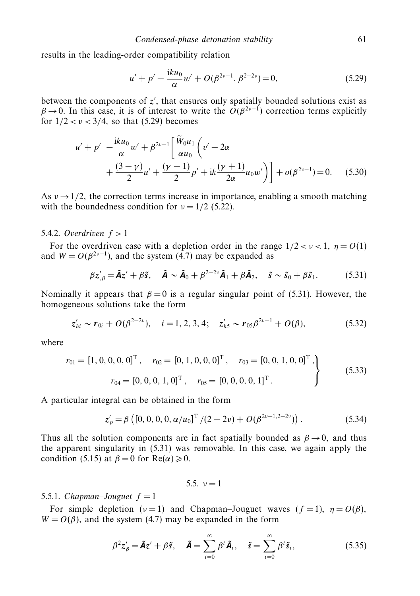results in the leading-order compatibility relation

$$
u' + p' - \frac{iku_0}{\alpha}w' + O(\beta^{2\nu - 1}, \beta^{2 - 2\nu}) = 0,
$$
\n(5.29)

between the components of *z* , that ensures only spatially bounded solutions exist as  $\beta \rightarrow 0$ . In this case, it is of interest to write the  $O(\beta^{2\nu-1})$  correction terms explicitly for  $1/2 < v < 3/4$ , so that (5.29) becomes

$$
u' + p' - \frac{iku_0}{\alpha}w' + \beta^{2\nu-1} \left[ \frac{W_0 u_1}{\alpha u_0} \left( v' - 2\alpha + \frac{(3-\gamma)}{2}u' + \frac{(\gamma-1)}{2}p' + ik\frac{(\gamma+1)}{2\alpha}u_0w' \right) \right] + o(\beta^{2\nu-1}) = 0. \quad (5.30)
$$

As  $\nu \rightarrow 1/2$ , the correction terms increase in importance, enabling a smooth matching with the boundedness condition for  $v = 1/2$  (5.22).

# 5.4.2. Overdriven *f >* 1

For the overdriven case with a depletion order in the range  $1/2 < v < 1$ ,  $n = O(1)$ and  $W = O(\beta^{2\nu-1})$ , and the system (4.7) may be expanded as

$$
\beta z'_{,\beta} = \tilde{\mathbf{A}} z' + \beta \tilde{s}, \quad \tilde{\mathbf{A}} \sim \tilde{\mathbf{A}}_0 + \beta^{2-2\nu} \tilde{\mathbf{A}}_1 + \beta \tilde{\mathbf{A}}_2, \quad \tilde{s} \sim \tilde{s}_0 + \beta \tilde{s}_1. \tag{5.31}
$$

Nominally it appears that  $\beta = 0$  is a regular singular point of (5.31). However, the homogeneous solutions take the form

$$
z'_{hi} \sim r_{0i} + O(\beta^{2-2\nu}), \quad i = 1, 2, 3, 4; \quad z'_{h5} \sim r_{05}\beta^{2\nu-1} + O(\beta), \tag{5.32}
$$

where

$$
r_{01} = [1, 0, 0, 0, 0]^{\mathrm{T}}, \quad r_{02} = [0, 1, 0, 0, 0]^{\mathrm{T}}, \quad r_{03} = [0, 0, 1, 0, 0]^{\mathrm{T}},
$$
  

$$
r_{04} = [0, 0, 0, 1, 0]^{\mathrm{T}}, \quad r_{05} = [0, 0, 0, 0, 1]^{\mathrm{T}}.
$$
 (5.33)

A particular integral can be obtained in the form

$$
z_p' = \beta \left( [0, 0, 0, 0, \alpha / u_0]^T / (2 - 2\nu) + O(\beta^{2\nu - 1, 2 - 2\nu}) \right). \tag{5.34}
$$

Thus all the solution components are in fact spatially bounded as  $\beta \rightarrow 0$ , and thus the apparent singularity in (5.31) was removable. In this case, we again apply the condition (5.15) at  $\beta = 0$  for  $\text{Re}(\alpha) \ge 0$ .

5.5.  $\nu = 1$ 

# 5.5.1. Chapman–Jouguet  $f = 1$

For simple depletion  $(v=1)$  and Chapman–Jouguet waves  $(f=1)$ ,  $\eta = O(\beta)$ ,  $W = O(\beta)$ , and the system (4.7) may be expanded in the form

$$
\beta^2 z'_\beta = \tilde{\mathbf{A}} z' + \beta \tilde{s}, \quad \tilde{\mathbf{A}} = \sum_{i=0}^{\infty} \beta^i \tilde{\mathbf{A}}_i, \quad \tilde{s} = \sum_{i=0}^{\infty} \beta^i \tilde{s}_i,
$$
 (5.35)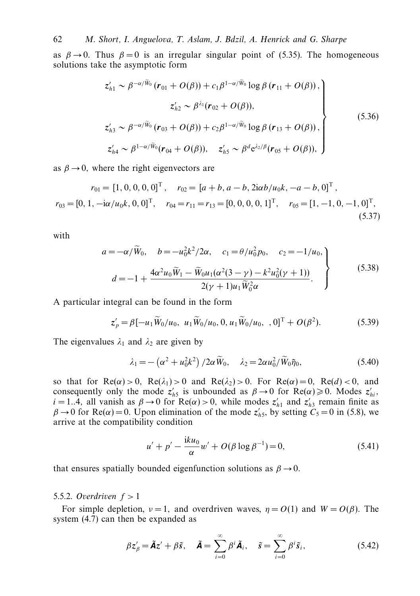as  $\beta \rightarrow 0$ . Thus  $\beta = 0$  is an irregular singular point of (5.35). The homogeneous solutions take the asymptotic form

$$
z'_{h1} \sim \beta^{-\alpha/\tilde{W}_0} \left( \mathbf{r}_{01} + O(\beta) \right) + c_1 \beta^{1-\alpha/\tilde{W}_0} \log \beta \left( \mathbf{r}_{11} + O(\beta) \right),
$$
  
\n
$$
z'_{h2} \sim \beta^{\lambda_1} (\mathbf{r}_{02} + O(\beta)),
$$
  
\n
$$
z'_{h3} \sim \beta^{-\alpha/\tilde{W}_0} \left( \mathbf{r}_{03} + O(\beta) \right) + c_2 \beta^{1-\alpha/\tilde{W}_0} \log \beta \left( \mathbf{r}_{13} + O(\beta) \right),
$$
  
\n
$$
z'_{h4} \sim \beta^{1-\alpha/\tilde{W}_0} (\mathbf{r}_{04} + O(\beta)), \quad z'_{h5} \sim \beta^d e^{\lambda_2/\beta} (\mathbf{r}_{05} + O(\beta)),
$$
\n(5.36)

as  $\beta \rightarrow 0$ , where the right eigenvectors are

$$
r_{01} = [1, 0, 0, 0, 0]^{\mathrm{T}}, \quad r_{02} = [a + b, a - b, 2\mathrm{i}\alpha b/u_0 k, -a - b, 0]^{\mathrm{T}},
$$
  

$$
r_{03} = [0, 1, -\mathrm{i}\alpha/u_0 k, 0, 0]^{\mathrm{T}}, \quad r_{04} = r_{11} = r_{13} = [0, 0, 0, 0, 1]^{\mathrm{T}}, \quad r_{05} = [1, -1, 0, -1, 0]^{\mathrm{T}},
$$
  
(5.37)

with

$$
a = -\alpha/\widetilde{W}_0, \quad b = -u_0^2 k^2 / 2\alpha, \quad c_1 = \theta/u_0^2 p_0, \quad c_2 = -1/u_0,
$$
  

$$
d = -1 + \frac{4\alpha^2 u_0 \widetilde{W}_1 - \widetilde{W}_0 u_1 (\alpha^2 (3 - \gamma) - k^2 u_0^2 (\gamma + 1))}{2(\gamma + 1) u_1 \widetilde{W}_0^2 \alpha}.
$$
 (5.38)

A particular integral can be found in the form

$$
z_p' = \beta [-u_1 \widetilde{W}_0/u_0, u_1 \widetilde{W}_0/u_0, 0, u_1 \widetilde{W}_0/u_0, 0]^{\mathrm{T}} + O(\beta^2). \tag{5.39}
$$

The eigenvalues  $\lambda_1$  and  $\lambda_2$  are given by

$$
\lambda_1 = -\left(\alpha^2 + u_0^2 k^2\right) / 2\alpha \widetilde{W}_0, \quad \lambda_2 = 2\alpha u_0^2 / \widetilde{W}_0 \widetilde{\eta}_0,\tag{5.40}
$$

so that for  $\text{Re}(\alpha) > 0$ ,  $\text{Re}(\lambda_1) > 0$  and  $\text{Re}(\lambda_2) > 0$ . For  $\text{Re}(\alpha) = 0$ ,  $\text{Re}(d) < 0$ , and consequently only the mode  $z'_{h5}$  is unbounded as  $\beta \to 0$  for Re( $\alpha$ )  $\geq 0$ . Modes  $z'_{hi}$ ,  $i = 1..4$ , all vanish as  $\beta \to 0$  for Re( $\alpha$ ) > 0, while modes  $z'_{h1}$  and  $z'_{h3}$  remain finite as  $\beta \rightarrow 0$  for Re( $\alpha$ ) = 0. Upon elimination of the mode  $z'_{h5}$ , by setting  $C_5 = 0$  in (5.8), we arrive at the compatibility condition

$$
u' + p' - \frac{iku_0}{\alpha}w' + O(\beta \log \beta^{-1}) = 0,
$$
\n(5.41)

that ensures spatially bounded eigenfunction solutions as  $\beta \rightarrow 0$ .

#### 5.5.2. Overdriven *f >* 1

For simple depletion,  $\nu = 1$ , and overdriven waves,  $\eta = O(1)$  and  $W = O(\beta)$ . The system (4.7) can then be expanded as

$$
\beta z'_{\beta} = \tilde{\mathbf{A}} z' + \beta \tilde{s}, \quad \tilde{\mathbf{A}} = \sum_{i=0}^{\infty} \beta^i \tilde{\mathbf{A}}_i, \quad \tilde{s} = \sum_{i=0}^{\infty} \beta^i \tilde{s}_i,
$$
 (5.42)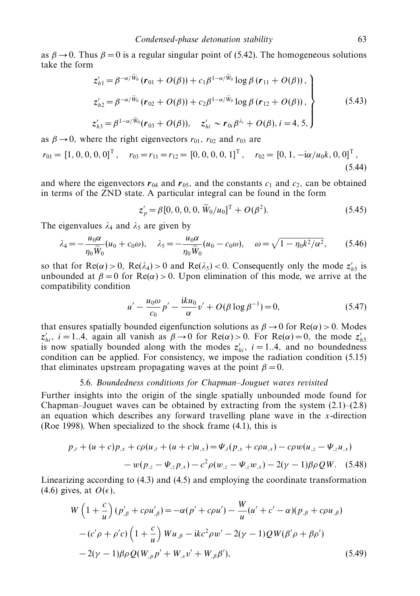as  $\beta \rightarrow 0$ . Thus  $\beta = 0$  is a regular singular point of (5.42). The homogeneous solutions take the form

$$
z'_{h1} = \beta^{-\alpha/\widetilde{W}_0} (r_{01} + O(\beta)) + c_1 \beta^{1-\alpha/\widetilde{W}_0} \log \beta (r_{11} + O(\beta)),
$$
  
\n
$$
z'_{h2} = \beta^{-\alpha/\widetilde{W}_0} (r_{02} + O(\beta)) + c_2 \beta^{1-\alpha/\widetilde{W}_0} \log \beta (r_{12} + O(\beta)),
$$
  
\n
$$
z'_{h3} = \beta^{1-\alpha/\widetilde{W}_0} (r_{03} + O(\beta)), \quad z'_{hi} \sim r_{0i} \beta^{\lambda_i} + O(\beta), i = 4, 5,
$$
\n(5.43)

as  $\beta \rightarrow 0$ , where the right eigenvectors  $r_{01}$ ,  $r_{02}$  and  $r_{03}$  are

$$
r_{01} = [1, 0, 0, 0, 0]^{\mathrm{T}}, \quad r_{03} = r_{11} = r_{12} = [0, 0, 0, 0, 1]^{\mathrm{T}}, \quad r_{02} = [0, 1, -\mathrm{i}\alpha/u_0k, 0, 0]^{\mathrm{T}}, \tag{5.44}
$$

and where the eigenvectors  $r_{04}$  and  $r_{05}$ , and the constants  $c_1$  and  $c_2$ , can be obtained in terms of the ZND state. A particular integral can be found in the form

$$
z_p' = \beta [0, 0, 0, 0, W_0 / u_0]^{\mathrm{T}} + O(\beta^2). \tag{5.45}
$$

The eigenvalues  $\lambda_4$  and  $\lambda_5$  are given by

$$
\lambda_4 = -\frac{u_0 \alpha}{\eta_0 \widetilde{W}_0} (u_0 + c_0 \omega), \quad \lambda_5 = -\frac{u_0 \alpha}{\eta_0 \widetilde{W}_0} (u_0 - c_0 \omega), \quad \omega = \sqrt{1 - \eta_0 k^2 / \alpha^2}, \tag{5.46}
$$

so that for  $\text{Re}(\alpha) > 0$ ,  $\text{Re}(\lambda_4) > 0$  and  $\text{Re}(\lambda_5) < 0$ . Consequently only the mode  $z'_{h5}$  is unbounded at  $\beta = 0$  for  $\text{Re}(\alpha) > 0$ . Upon elimination of this mode, we arrive at the compatibility condition

$$
u' - \frac{u_0 \omega}{c_0} p' - \frac{ik u_0}{\alpha} v' + O(\beta \log \beta^{-1}) = 0,
$$
\n(5.47)

that ensures spatially bounded eigenfunction solutions as  $\beta \rightarrow 0$  for Re( $\alpha$ ) > 0. Modes  $z'_{hi}$ ,  $i = 1..4$ , again all vanish as  $\beta \to 0$  for Re( $\alpha$ ) > 0. For Re( $\alpha$ ) = 0, the mode  $z'_{h5}$ is now spatially bounded along with the modes  $z'_{hi}$ ,  $i = 1..4$ , and no boundedness condition can be applied. For consistency, we impose the radiation condition (5.15) that eliminates upstream propagating waves at the point  $\beta = 0$ .

#### 5.6. Boundedness conditions for Chapman–Jouguet waves revisited

Further insights into the origin of the single spatially unbounded mode found for Chapman–Jouguet waves can be obtained by extracting from the system  $(2.1)$ – $(2.8)$ an equation which describes any forward travelling plane wave in the *x*-direction (Roe 1998). When specialized to the shock frame (4.1), this is

$$
p_{,t} + (u + c)p_{,x} + c\rho(u_{,t} + (u + c)u_{,x}) = \Psi_{,t}(p_{,x} + c\rho u_{,x}) - c\rho w(u_{,z} - \Psi_{,z}u_{,x})
$$

$$
- w(p_{,z} - \Psi_{,z}p_{,x}) - c^2\rho(w_{,z} - \Psi_{,z}w_{,x}) - 2(\gamma - 1)\beta\rho QW. \quad (5.48)
$$

Linearizing according to (4.3) and (4.5) and employing the coordinate transformation (4.6) gives, at  $O(\epsilon)$ ,

$$
W\left(1+\frac{c}{u}\right)(p'_{,\beta}+c\rho u'_{,\beta})=-\alpha(p'+c\rho u')-\frac{W}{u}(u'+c'-\alpha)(p_{,\beta}+c\rho u_{,\beta})-(c'\rho+\rho'c)\left(1+\frac{c}{u}\right)Wu_{,\beta}-ikc^2\rho w'-2(\gamma-1)QW(\beta'\rho+\beta\rho')-2(\gamma-1)\beta\rho Q(W_{,\rho}p'+W_{,\nu}v'+W_{,\beta}\beta'),
$$
(5.49)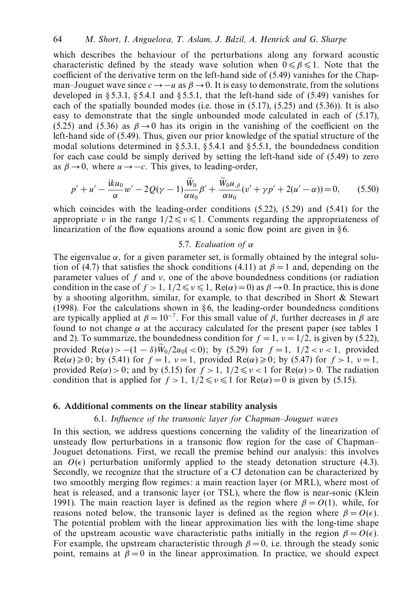which describes the behaviour of the perturbations along any forward acoustic characteristic defined by the steady wave solution when  $0 \le \beta \le 1$ . Note that the coefficient of the derivative term on the left-hand side of (5.49) vanishes for the Chapman–Jouguet wave since  $c \rightarrow -\mu$  as  $\beta \rightarrow 0$ . It is easy to demonstrate, from the solutions developed in § 5.3.1, § 5.4.1 and § 5.5.1, that the left-hand side of  $(5.49)$  vanishes for each of the spatially bounded modes (i.e. those in (5.17), (5.25) and (5.36)). It is also easy to demonstrate that the single unbounded mode calculated in each of (5.17), (5.25) and (5.36) as  $\beta \rightarrow 0$  has its origin in the vanishing of the coefficient on the left-hand side of (5.49). Thus, given our prior knowledge of the spatial structure of the modal solutions determined in  $\S 5.3.1$ ,  $\S 5.4.1$  and  $\S 5.5.1$ , the boundedness condition for each case could be simply derived by setting the left-hand side of (5.49) to zero as  $\beta \rightarrow 0$ , where  $u \rightarrow -c$ . This gives, to leading-order,

$$
p' + u' - \frac{iku_0}{\alpha}w' - 2Q(\gamma - 1)\frac{\widetilde{W}_0}{\alpha u_0}\beta' + \frac{\widetilde{W}_0u_{,\beta}}{\alpha u_0}(v' + \gamma p' + 2(u' - \alpha)) = 0, \qquad (5.50)
$$

which coincides with the leading-order conditions  $(5.22)$ ,  $(5.29)$  and  $(5.41)$  for the appropriate *ν* in the range  $1/2 \le v \le 1$ . Comments regarding the appropriateness of linearization of the flow equations around a sonic flow point are given in § 6.

#### 5.7. Evaluation of *α*

The eigenvalue  $\alpha$ , for a given parameter set, is formally obtained by the integral solution of (4.7) that satisfies the shock conditions (4.11) at  $\beta = 1$  and, depending on the parameter values of *f* and *ν,* one of the above boundedness conditions (or radiation condition in the case of  $f > 1$ ,  $1/2 \le v \le 1$ ,  $\text{Re}(\alpha) = 0$ ) as  $\beta \to 0$ . In practice, this is done by a shooting algorithm, similar, for example, to that described in Short & Stewart (1998). For the calculations shown in  $\S 6$ , the leading-order boundedness conditions are typically applied at  $\beta = 10^{-7}$ . For this small value of  $\beta$ , further decreases in  $\beta$  are found to not change  $\alpha$  at the accuracy calculated for the present paper (see tables 1) and 2). To summarize, the boundedness condition for  $f = 1$ ,  $v = 1/2$ , is given by (5.22), provided Re( $\alpha$ ) > -(1 -  $\delta$ )W<sub>0</sub>/2*u*<sub>0</sub>( < 0); by (5.29) for  $f = 1$ , 1/2 < *v* < 1, provided Re( $\alpha$ ) > 0, by (5.47) for  $f = 1$ ,  $\alpha$  $\text{Re}(\alpha) \geq 0$ ; by (5.41) for  $f = 1$ ,  $\nu = 1$ , provided  $\text{Re}(\alpha) \geq 0$ ; by (5.47) for  $f > 1$ ,  $\nu = 1$ , provided  $\text{Re}(\alpha) > 0$ ; and by (5.15) for  $f > 1$ ,  $1/2 \le v < 1$  for  $\text{Re}(\alpha) > 0$ . The radiation condition that is applied for  $f > 1$ ,  $1/2 \le v \le 1$  for  $Re(\alpha) = 0$  is given by (5.15).

## *6. Additional comments on the linear stability analysis*

#### 6.1. Influence of the transonic layer for Chapman–Jouguet waves

In this section, we address questions concerning the validity of the linearization of unsteady flow perturbations in a transonic flow region for the case of Chapman– Jouguet detonations. First, we recall the premise behind our analysis: this involves an  $O(\epsilon)$  perturbation uniformly applied to the steady detonation structure (4.3). Secondly, we recognize that the structure of a CJ detonation can be characterized by two smoothly merging flow regimes: a main reaction layer (or MRL), where most of heat is released, and a transonic layer (or TSL), where the flow is near-sonic (Klein 1991). The main reaction layer is defined as the region where  $\beta = O(1)$ , while, for reasons noted below, the transonic layer is defined as the region where  $\beta = O(\epsilon)$ . The potential problem with the linear approximation lies with the long-time shape of the upstream acoustic wave characteristic paths initially in the region  $\beta = O(\epsilon)$ . For example, the upstream characteristic through  $\beta = 0$ , i.e. through the steady sonic point, remains at  $\beta = 0$  in the linear approximation. In practice, we should expect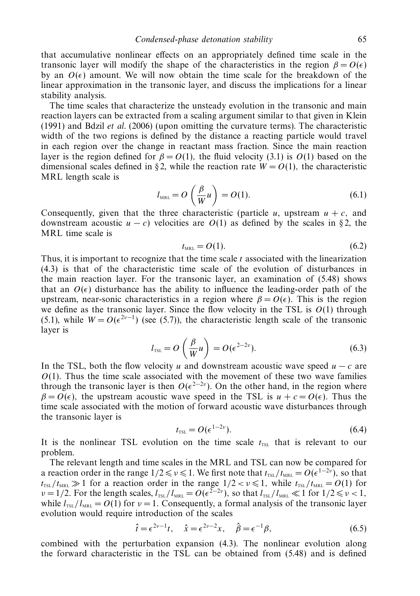that accumulative nonlinear effects on an appropriately defined time scale in the transonic layer will modify the shape of the characteristics in the region  $\beta = O(\epsilon)$ by an  $O(\epsilon)$  amount. We will now obtain the time scale for the breakdown of the linear approximation in the transonic layer, and discuss the implications for a linear stability analysis.

The time scales that characterize the unsteady evolution in the transonic and main reaction layers can be extracted from a scaling argument similar to that given in Klein (1991) and Bdzil *et al.* (2006) (upon omitting the curvature terms). The characteristic width of the two regions is defined by the distance a reacting particle would travel in each region over the change in reactant mass fraction. Since the main reaction layer is the region defined for  $\beta = O(1)$ , the fluid velocity (3.1) is  $O(1)$  based on the dimensional scales defined in §2, while the reaction rate  $W = O(1)$ , the characteristic MRL length scale is

$$
l_{\text{MRL}} = O\left(\frac{\beta}{W}u\right) = O(1). \tag{6.1}
$$

Consequently, given that the three characteristic (particle  $u$ , upstream  $u + c$ , and downstream acoustic  $u - c$ ) velocities are  $O(1)$  as defined by the scales in §2, the MRL time scale is

$$
t_{\text{MRL}} = O(1). \tag{6.2}
$$

Thus, it is important to recognize that the time scale *t* associated with the linearization (4.3) is that of the characteristic time scale of the evolution of disturbances in the main reaction layer. For the transonic layer, an examination of (5.48) shows that an  $O(\epsilon)$  disturbance has the ability to influence the leading-order path of the upstream, near-sonic characteristics in a region where  $\beta = O(\epsilon)$ . This is the region we define as the transonic layer. Since the flow velocity in the TSL is *O*(1) through (5.1), while  $W = O(\epsilon^{2\nu-1})$  (see (5.7)), the characteristic length scale of the transonic layer is

$$
l_{\text{rsl}} = O\left(\frac{\beta}{W}u\right) = O(\epsilon^{2-2\nu}).\tag{6.3}
$$

In the TSL, both the flow velocity *u* and downstream acoustic wave speed  $u - c$  are *O*(1)*.* Thus the time scale associated with the movement of these two wave families through the transonic layer is then  $O(\epsilon^{2-2\nu})$ . On the other hand, in the region where  $\beta = O(\epsilon)$ , the upstream acoustic wave speed in the TSL is  $u + c = O(\epsilon)$ . Thus the time scale associated with the motion of forward acoustic wave disturbances through the transonic layer is

$$
t_{\text{TSL}} = O(\epsilon^{1-2\nu}).\tag{6.4}
$$

It is the nonlinear TSL evolution on the time scale  $t_{\text{TSL}}$  that is relevant to our problem.

The relevant length and time scales in the MRL and TSL can now be compared for a reaction order in the range  $1/2 \le v \le 1$ . We first note that  $t_{\text{rst}}/t_{\text{MRL}} = O(\epsilon^{1-2\nu})$ , so that  $t_{\text{TSL}}/t_{\text{MRL}} \gg 1$  for a reaction order in the range  $1/2 < v \le 1$ , while  $t_{\text{TSL}}/t_{\text{MRL}} = O(1)$  for  $\nu = 1/2$ . For the length scales,  $l_{\text{TSL}}/l_{\text{MRL}} = O(\epsilon^{2-2\nu})$ , so that  $l_{\text{TSL}}/l_{\text{MRL}} \ll 1$  for  $1/2 \le \nu < 1$ , while  $l_{\text{tsL}}/l_{\text{MRL}} = O(1)$  for  $\nu = 1$ . Consequently, a formal analysis of the transonic layer evolution would require introduction of the scales

$$
\hat{t} = \epsilon^{2\nu - 1}t, \quad \hat{x} = \epsilon^{2\nu - 2}x, \quad \hat{\beta} = \epsilon^{-1}\beta,
$$
\n(6.5)

combined with the perturbation expansion (4.3). The nonlinear evolution along the forward characteristic in the TSL can be obtained from (5.48) and is defined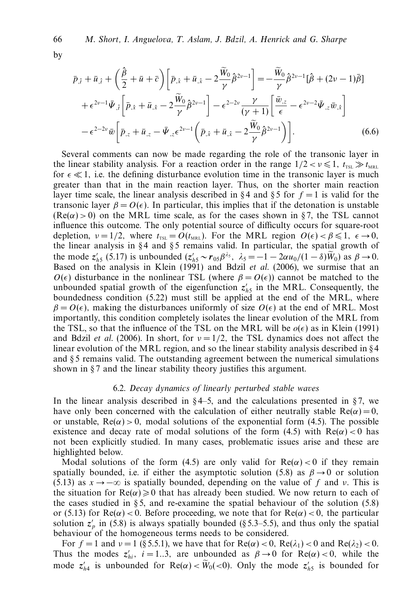by

$$
\bar{p}_{,\hat{i}} + \bar{u}_{,\hat{i}} + \left(\frac{\hat{\beta}}{2} + \bar{u} + \bar{c}\right) \left[\bar{p}_{,\hat{x}} + \bar{u}_{,\hat{x}} - 2\frac{\widetilde{W}_0}{\gamma} \hat{\beta}^{2\nu - 1}\right] = -\frac{\widetilde{W}_0}{\gamma} \hat{\beta}^{2\nu - 1} [\hat{\beta} + (2\nu - 1)\bar{\beta}] \n+ \epsilon^{2\nu - 1} \bar{\Psi}_{,\hat{i}} \left[\bar{p}_{,\hat{x}} + \bar{u}_{,\hat{x}} - 2\frac{\widetilde{W}_0}{\gamma} \hat{\beta}^{2\nu - 1}\right] - \epsilon^{2 - 2\nu} \frac{\gamma}{(\gamma + 1)} \left[\frac{\bar{w}_{,\hat{z}}}{\epsilon} - \epsilon^{2\nu - 2} \bar{\Psi}_{,\hat{z}} \bar{w}_{,\hat{x}}\right] \n- \epsilon^{2 - 2\nu} \bar{w} \left[\bar{p}_{,\hat{z}} + \bar{u}_{,\hat{z}} - \bar{\Psi}_{,\hat{z}} \epsilon^{2\nu - 1} \left(\bar{p}_{,\hat{x}} + \bar{u}_{,\hat{x}} - 2\frac{\widetilde{W}_0}{\gamma} \hat{\beta}^{2\nu - 1}\right)\right].
$$
\n(6.6)

Several comments can now be made regarding the role of the transonic layer in the linear stability analysis. For a reaction order in the range  $1/2 < v \le 1$ ,  $t_{\text{rst}} \gg t_{\text{MRL}}$ for  $\epsilon \ll 1$ , i.e. the defining disturbance evolution time in the transonic layer is much greater than that in the main reaction layer. Thus, on the shorter main reaction layer time scale, the linear analysis described in  $\S 4$  and  $\S 5$  for  $f = 1$  is valid for the transonic layer  $\beta = O(\epsilon)$ . In particular, this implies that if the detonation is unstable  $(Re(\alpha) > 0)$  on the MRL time scale, as for the cases shown in §7, the TSL cannot influence this outcome. The only potential source of difficulty occurs for square-root depletion,  $\nu = 1/2$ , where  $t_{\text{TSL}} = O(t_{\text{MRL}})$ . For the MRL region  $O(\epsilon) < \beta \le 1$ ,  $\epsilon \to 0$ , the linear analysis in § 4 and § 5 remains valid. In particular, the spatial growth of the mode  $z'_{h5}$  (5.17) is unbounded  $(z'_{h5} \sim r_{05} \beta^{\lambda_5}, \lambda_5 = -1 - 2\alpha u_0/(1 - \delta)W_0$ ) as  $\beta \to 0$ .<br>Based on the applyis in Klain (1001) and Bdzil at al. (2006) we surmise that an Based on the analysis in Klein (1991) and Bdzil et al. (2006), we surmise that an  $O(\epsilon)$  disturbance in the nonlinear TSL (where  $\beta = O(\epsilon)$ ) cannot be matched to the unbounded spatial growth of the eigenfunction  $z'_{h5}$  in the MRL. Consequently, the boundedness condition (5.22) must still be applied at the end of the MRL, where  $\beta = O(\epsilon)$ , making the disturbances uniformly of size  $O(\epsilon)$  at the end of MRL. Most importantly, this condition completely isolates the linear evolution of the MRL from the TSL, so that the influence of the TSL on the MRL will be  $o(\epsilon)$  as in Klein (1991) and Bdzil *et al.* (2006). In short, for  $\nu = 1/2$ , the TSL dynamics does not affect the linear evolution of the MRL region, and so the linear stability analysis described in § 4 and § 5 remains valid. The outstanding agreement between the numerical simulations shown in § 7 and the linear stability theory justifies this argument.

# 6.2. Decay dynamics of linearly perturbed stable waves

In the linear analysis described in  $\S 4-5$ , and the calculations presented in  $\S 7$ , we have only been concerned with the calculation of either neutrally stable  $\text{Re}(\alpha) = 0$ , or unstable,  $Re(\alpha) > 0$ , modal solutions of the exponential form (4.5). The possible existence and decay rate of modal solutions of the form  $(4.5)$  with  $Re(\alpha) < 0$  has not been explicitly studied. In many cases, problematic issues arise and these are highlighted below.

Modal solutions of the form (4.5) are only valid for  $Re(\alpha) < 0$  if they remain spatially bounded, i.e. if either the asymptotic solution (5.8) as  $\beta \rightarrow 0$  or solution (5.13) as  $x \rightarrow -\infty$  is spatially bounded, depending on the value of f and *ν*. This is the situation for  $\text{Re}(\alpha) \geq 0$  that has already been studied. We now return to each of the cases studied in  $\S 5$ , and re-examine the spatial behaviour of the solution (5.8) or (5.13) for  $Re(\alpha) < 0$ . Before proceeding, we note that for  $Re(\alpha) < 0$ , the particular solution  $z_p'$  in (5.8) is always spatially bounded (§ 5.3–5.5), and thus only the spatial behaviour of the homogeneous terms needs to be considered.

For  $f = 1$  and  $v = 1$  (§ 5.5.1), we have that for  $\text{Re}(\alpha) < 0$ ,  $\text{Re}(\lambda_1) < 0$  and  $\text{Re}(\lambda_2) < 0$ . Thus the modes  $z'_{hi}$ ,  $i = 1..3$ , are unbounded as  $\beta \rightarrow 0$  for Re( $\alpha$ ) < 0, while the mode  $z'_{h4}$  is unbounded for  $\text{Re}(\alpha) < W_0(<0)$ . Only the mode  $z'_{h5}$  is bounded for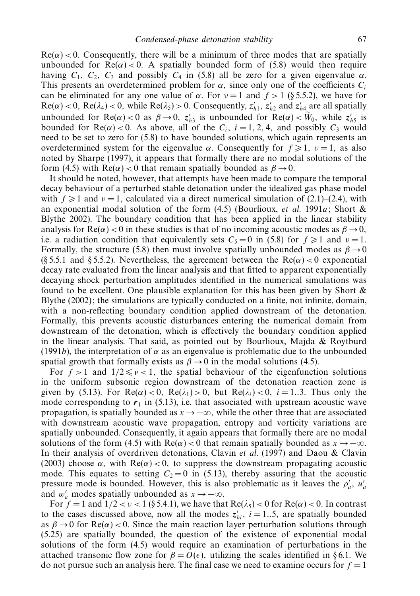$\text{Re}(\alpha) < 0$ . Consequently, there will be a minimum of three modes that are spatially unbounded for  $\text{Re}(\alpha) < 0$ . A spatially bounded form of (5.8) would then require having  $C_1$ ,  $C_2$ ,  $C_3$  and possibly  $C_4$  in (5.8) all be zero for a given eigenvalue  $\alpha$ . This presents an overdetermined problem for  $\alpha$ , since only one of the coefficients  $C_i$ can be eliminated for any one value of  $\alpha$ . For  $\nu = 1$  and  $f > 1$  (§ 5.5.2), we have for  $\text{Re}(\alpha) < 0$ ,  $\text{Re}(\lambda_4) < 0$ , while  $\text{Re}(\lambda_5) > 0$ . Consequently,  $z'_{h1}$ ,  $z'_{h2}$  and  $z'_{h4}$  are all spatially unbounded for  $\text{Re}(\alpha) < 0$  as  $\beta \to 0$ ,  $z'_{h3}$  is unbounded for  $\text{Re}(\alpha) < W_0$ , while  $z'_{h5}$  is having all of the  $C_1 \neq 1, 2, 4$  and possibly  $C_n$  would bounded for  $\text{Re}(\alpha) < 0$ . As above, all of the  $C_i$ ,  $i = 1, 2, 4$ , and possibly  $C_3$  would need to be set to zero for (5.8) to have bounded solutions, which again represents an overdetermined system for the eigenvalue  $\alpha$ . Consequently for  $f \ge 1$ ,  $\nu = 1$ , as also noted by Sharpe (1997), it appears that formally there are no modal solutions of the form (4.5) with  $\text{Re}(\alpha) < 0$  that remain spatially bounded as  $\beta \rightarrow 0$ .

It should be noted, however, that attempts have been made to compare the temporal decay behaviour of a perturbed stable detonation under the idealized gas phase model with  $f \ge 1$  and  $v = 1$ , calculated via a direct numerical simulation of (2.1)–(2.4), with an exponential modal solution of the form (4.5) (Bourlioux, et al. 1991*a*; Short & Blythe 2002). The boundary condition that has been applied in the linear stability analysis for  $\text{Re}(\alpha) < 0$  in these studies is that of no incoming acoustic modes as  $\beta \to 0$ , i.e. a radiation condition that equivalently sets  $C_5 = 0$  in (5.8) for  $f \ge 1$  and  $\nu = 1$ . Formally, the structure (5.8) then must involve spatially unbounded modes as  $\beta \rightarrow 0$ (§ 5.5.1 and § 5.5.2). Nevertheless, the agreement between the  $\text{Re}(\alpha) < 0$  exponential decay rate evaluated from the linear analysis and that fitted to apparent exponentially decaying shock perturbation amplitudes identified in the numerical simulations was found to be excellent. One plausible explanation for this has been given by Short  $\&$ Blythe (2002); the simulations are typically conducted on a finite, not infinite, domain, with a non-reflecting boundary condition applied downstream of the detonation. Formally, this prevents acoustic disturbances entering the numerical domain from downstream of the detonation, which is effectively the boundary condition applied in the linear analysis. That said, as pointed out by Bourlioux, Majda & Roytburd (1991*b*), the interpretation of  $\alpha$  as an eigenvalue is problematic due to the unbounded spatial growth that formally exists as  $\beta \rightarrow 0$  in the modal solutions (4.5).

For  $f > 1$  and  $1/2 \le v < 1$ , the spatial behaviour of the eigenfunction solutions in the uniform subsonic region downstream of the detonation reaction zone is given by (5.13). For  $\text{Re}(\alpha) < 0$ ,  $\text{Re}(\lambda_1) > 0$ , but  $\text{Re}(\lambda_i) < 0$ ,  $i = 1..3$ . Thus only the mode corresponding to  $r_1$  in (5.13), i.e. that associated with upstream acoustic wave propagation, is spatially bounded as  $x \rightarrow -\infty$ , while the other three that are associated with downstream acoustic wave propagation, entropy and vorticity variations are spatially unbounded. Consequently, it again appears that formally there are no modal solutions of the form (4.5) with  $Re(\alpha) < 0$  that remain spatially bounded as  $x \to -\infty$ *.* In their analysis of overdriven detonations, Clavin *et al.* (1997) and Daou & Clavin (2003) choose  $\alpha$ , with Re( $\alpha$ ) < 0, to suppress the downstream propagating acoustic mode. This equates to setting  $C_2 = 0$  in (5.13), thereby assuring that the acoustic pressure mode is bounded. However, this is also problematic as it leaves the  $\rho_a^{\prime}$ ,  $u_a^{\prime}$ and  $w'_a$  modes spatially unbounded as  $x \to -\infty$ .

For  $f = 1$  and  $1/2 < v < 1$  (§ 5.4.1), we have that  $\text{Re}(\lambda_5) < 0$  for  $\text{Re}(\alpha) < 0$ . In contrast to the cases discussed above, now all the modes  $z'_{hi}$ ,  $i = 1..5$ , are spatially bounded as  $\beta \rightarrow 0$  for Re( $\alpha$ ) < 0. Since the main reaction layer perturbation solutions through (5.25) are spatially bounded, the question of the existence of exponential modal solutions of the form (4.5) would require an examination of perturbations in the attached transonic flow zone for  $\beta = O(\epsilon)$ , utilizing the scales identified in §6.1. We do not pursue such an analysis here. The final case we need to examine occurs for  $f = 1$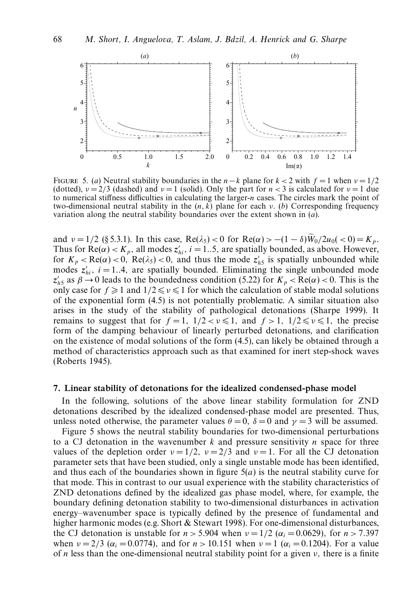

FIGURE 5. (a) Neutral stability boundaries in the  $n-k$  plane for  $k < 2$  with  $f = 1$  when  $\nu = 1/2$ (dotted),  $v = 2/3$  (dashed) and  $v = 1$  (solid). Only the part for  $n < 3$  is calculated for  $v = 1$  due to numerical stiffness difficulties in calculating the larger-*n* cases. The circles mark the point of two-dimensional neutral stability in the (*n, k*) plane for each *ν.* (b) Corresponding frequency variation along the neutral stability boundaries over the extent shown in (a).

and  $\nu = 1/2$  (§ 5.3.1). In this case,  $Re(\lambda_5) < 0$  for  $Re(\alpha) > -(1 - \delta)W_0/2u_0(< 0) = K_p$ .<br>Thus for  $Re(\alpha) \rightarrow K$ , all modes  $\alpha'$ , i.e. 1.5, are appliedly haveded, as above. Havenus, Thus for  $\text{Re}(\alpha) < K_p$ , all modes  $z'_{hi}$ ,  $i = 1..5$ , are spatially bounded, as above. However, for  $K_p < \text{Re}(\alpha) < 0$ ,  $\text{Re}(\lambda_5) < 0$ , and thus the mode  $z'_{h5}$  is spatially unbounded while modes  $z'_{hi}$ ,  $i = 1..4$ , are spatially bounded. Eliminating the single unbounded mode  $z'_{h5}$  as  $\beta \rightarrow 0$  leads to the boundedness condition (5.22) for  $K_p < \text{Re}(\alpha) < 0$ . This is the only case for  $f \ge 1$  and  $1/2 \le v \le 1$  for which the calculation of stable modal solutions of the exponential form (4.5) is not potentially problematic. A similar situation also arises in the study of the stability of pathological detonations (Sharpe 1999). It remains to suggest that for  $f = 1$ ,  $1/2 < v \le 1$ , and  $f > 1$ ,  $1/2 \le v \le 1$ , the precise form of the damping behaviour of linearly perturbed detonations, and clarification on the existence of modal solutions of the form (4.5), can likely be obtained through a method of characteristics approach such as that examined for inert step-shock waves (Roberts 1945).

#### *7. Linear stability of detonations for the idealized condensed-phase model*

In the following, solutions of the above linear stability formulation for ZND detonations described by the idealized condensed-phase model are presented. Thus, unless noted otherwise, the parameter values  $\theta = 0$ ,  $\delta = 0$  and  $\gamma = 3$  will be assumed.

Figure 5 shows the neutral stability boundaries for two-dimensional perturbations to a CJ detonation in the wavenumber *k* and pressure sensitivity *n* space for three values of the depletion order  $v = 1/2$ ,  $v = 2/3$  and  $v = 1$ . For all the CJ detonation parameter sets that have been studied, only a single unstable mode has been identified, and thus each of the boundaries shown in figure  $5(a)$  is the neutral stability curve for that mode. This in contrast to our usual experience with the stability characteristics of ZND detonations defined by the idealized gas phase model, where, for example, the boundary defining detonation stability to two-dimensional disturbances in activation energy–wavenumber space is typically defined by the presence of fundamental and higher harmonic modes (e.g. Short & Stewart 1998). For one-dimensional disturbances, the CJ detonation is unstable for  $n > 5.904$  when  $\nu = 1/2$  ( $\alpha_i = 0.0629$ ), for  $n > 7.397$ when  $\nu = 2/3$  ( $\alpha_i = 0.0774$ ), and for  $n > 10.151$  when  $\nu = 1$  ( $\alpha_i = 0.1204$ ). For a value of *n* less than the one-dimensional neutral stability point for a given *ν,* there is a finite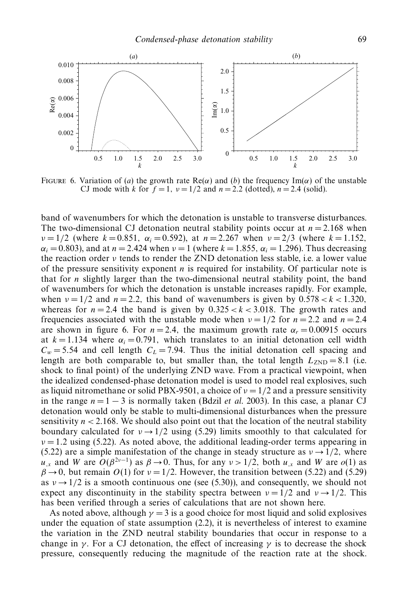

FIGURE 6. Variation of (a) the growth rate  $\text{Re}(\alpha)$  and (b) the frequency Im( $\alpha$ ) of the unstable CJ mode with *k* for  $f = 1$ ,  $v = 1/2$  and  $n = 2.2$  (dotted),  $n = 2.4$  (solid).

band of wavenumbers for which the detonation is unstable to transverse disturbances. The two-dimensional CJ detonation neutral stability points occur at  $n = 2.168$  when *ν* = 1*/*2 (where *k* = 0*.*851*, αi* = 0*.*592), at *n* = 2*.*267 when *ν* = 2*/*3 (where *k* = 1*.*152*, α<sub>i</sub>* = 0.803), and at *n* = 2.424 when *ν* = 1 (where *k* = 1.855,  $α<sub>i</sub>$  = 1.296). Thus decreasing the reaction order *ν* tends to render the ZND detonation less stable, i.e. a lower value of the pressure sensitivity exponent *n* is required for instability. Of particular note is that for *n* slightly larger than the two-dimensional neutral stability point, the band of wavenumbers for which the detonation is unstable increases rapidly. For example, when  $\nu = 1/2$  and  $n = 2.2$ , this band of wavenumbers is given by  $0.578 < k < 1.320$ , whereas for  $n = 2.4$  the band is given by  $0.325 < k < 3.018$ . The growth rates and frequencies associated with the unstable mode when  $\nu = 1/2$  for  $n = 2.2$  and  $n = 2.4$ are shown in figure 6. For  $n = 2.4$ , the maximum growth rate  $\alpha_r = 0.00915$  occurs at  $k = 1.134$  where  $\alpha_i = 0.791$ , which translates to an initial detonation cell width  $C_w = 5.54$  and cell length  $C_L = 7.94$ . Thus the initial detonation cell spacing and length are both comparable to, but smaller than, the total length  $L_{ZND} = 8.1$  (i.e. shock to final point) of the underlying ZND wave. From a practical viewpoint, when the idealized condensed-phase detonation model is used to model real explosives, such as liquid nitromethane or solid PBX-9501, a choice of  $\nu = 1/2$  and a pressure sensitivity in the range  $n = 1 - 3$  is normally taken (Bdzil *et al.* 2003). In this case, a planar CJ detonation would only be stable to multi-dimensional disturbances when the pressure sensitivity  $n < 2.168$ . We should also point out that the location of the neutral stability boundary calculated for  $v \rightarrow 1/2$  using (5.29) limits smoothly to that calculated for  $\nu = 1.2$  using (5.22). As noted above, the additional leading-order terms appearing in (5.22) are a simple manifestation of the change in steady structure as  $v \rightarrow 1/2$ , where *u<sub>x</sub>* and *W* are  $O(\beta^{2\nu-1})$  as  $\beta \to 0$ . Thus, for any  $\nu > 1/2$ , both *u<sub>x</sub>* and *W* are *o*(1) as  $\beta \rightarrow 0$ , but remain *O*(1) for  $\nu = 1/2$ . However, the transition between (5.22) and (5.29) as  $v \rightarrow 1/2$  is a smooth continuous one (see (5.30)), and consequently, we should not expect any discontinuity in the stability spectra between  $v = 1/2$  and  $v \rightarrow 1/2$ . This has been verified through a series of calculations that are not shown here.

As noted above, although  $\gamma = 3$  is a good choice for most liquid and solid explosives under the equation of state assumption (2.2), it is nevertheless of interest to examine the variation in the ZND neutral stability boundaries that occur in response to a change in *γ*. For a CJ detonation, the effect of increasing *γ* is to decrease the shock pressure, consequently reducing the magnitude of the reaction rate at the shock.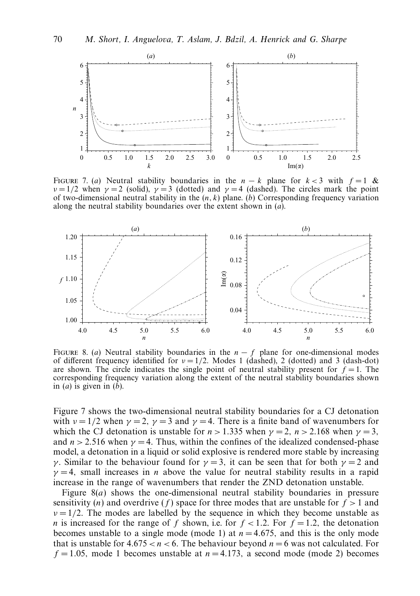

FIGURE 7. (a) Neutral stability boundaries in the  $n - k$  plane for  $k < 3$  with  $f = 1$  & *v* = 1/2 when *γ* = 2 (solid), *γ* = 3 (dotted) and *γ* = 4 (dashed). The circles mark the point of two-dimensional neutral stability in the (*n, k*) plane. (b) Corresponding frequency variation along the neutral stability boundaries over the extent shown in (a).



FIGURE 8. (a) Neutral stability boundaries in the  $n - f$  plane for one-dimensional modes of different frequency identified for *ν* = 1*/*2*.* Modes 1 (dashed), 2 (dotted) and 3 (dash-dot) are shown. The circle indicates the single point of neutral stability present for  $f = 1$ . The corresponding frequency variation along the extent of the neutral stability boundaries shown in  $(a)$  is given in  $(b)$ .

Figure 7 shows the two-dimensional neutral stability boundaries for a CJ detonation with  $\nu = 1/2$  when  $\gamma = 2$ ,  $\gamma = 3$  and  $\gamma = 4$ . There is a finite band of wavenumbers for which the CJ detonation is unstable for  $n > 1.335$  when  $\gamma = 2$ ,  $n > 2.168$  when  $\gamma = 3$ , and  $n > 2.516$  when  $\gamma = 4$ . Thus, within the confines of the idealized condensed-phase model, a detonation in a liquid or solid explosive is rendered more stable by increasing *γ*. Similar to the behaviour found for  $\gamma = 3$ , it can be seen that for both  $\gamma = 2$  and  $\gamma = 4$ , small increases in *n* above the value for neutral stability results in a rapid increase in the range of wavenumbers that render the ZND detonation unstable.

Figure 8(*a*) shows the one-dimensional neutral stability boundaries in pressure sensitivity (*n*) and overdrive (*f*) space for three modes that are unstable for  $f > 1$  and  $\nu = 1/2$ . The modes are labelled by the sequence in which they become unstable as *n* is increased for the range of *f* shown, i.e. for  $f < 1.2$ . For  $f = 1.2$ , the detonation becomes unstable to a single mode (mode 1) at  $n = 4.675$ , and this is the only mode that is unstable for  $4.675 < n < 6$ . The behaviour beyond  $n = 6$  was not calculated. For  $f = 1.05$ , mode 1 becomes unstable at  $n = 4.173$ , a second mode (mode 2) becomes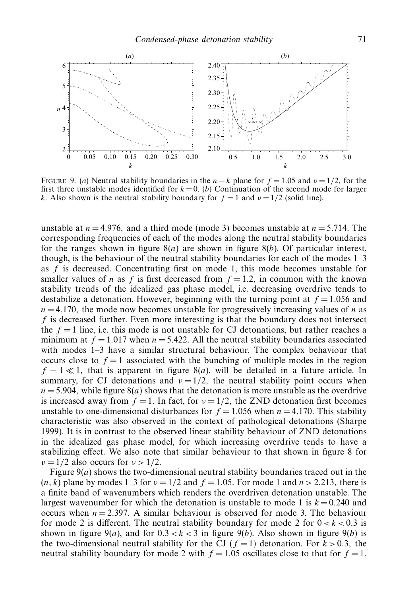

FIGURE 9. (a) Neutral stability boundaries in the  $n - k$  plane for  $f = 1.05$  and  $\nu = 1/2$ , for the first three unstable modes identified for  $k = 0$ . (b) Continuation of the second mode for larger *k*. Also shown is the neutral stability boundary for  $f = 1$  and  $v = 1/2$  (solid line).

unstable at  $n = 4.976$ , and a third mode (mode 3) becomes unstable at  $n = 5.714$ . The corresponding frequencies of each of the modes along the neutral stability boundaries for the ranges shown in figure 8(*a*) are shown in figure 8(*b*). Of particular interest, though, is the behaviour of the neutral stability boundaries for each of the modes 1–3 as *f* is decreased. Concentrating first on mode 1, this mode becomes unstable for smaller values of *n* as *f* is first decreased from  $f = 1.2$ , in common with the known stability trends of the idealized gas phase model, i.e. decreasing overdrive tends to destabilize a detonation. However, beginning with the turning point at  $f = 1.056$  and  $n = 4.170$ , the mode now becomes unstable for progressively increasing values of *n* as *f* is decreased further. Even more interesting is that the boundary does not intersect the  $f = 1$  line, i.e. this mode is not unstable for CJ detonations, but rather reaches a minimum at  $f = 1.017$  when  $n = 5.422$ . All the neutral stability boundaries associated with modes 1–3 have a similar structural behaviour. The complex behaviour that occurs close to  $f = 1$  associated with the bunching of multiple modes in the region  $f - 1 \ll 1$ , that is apparent in figure 8(*a*), will be detailed in a future article. In summary, for CJ detonations and  $v = 1/2$ , the neutral stability point occurs when  $n = 5.904$ , while figure  $8(a)$  shows that the detonation is more unstable as the overdrive is increased away from  $f = 1$ . In fact, for  $v = 1/2$ , the ZND detonation first becomes unstable to one-dimensional disturbances for  $f = 1.056$  when  $n = 4.170$ . This stability characteristic was also observed in the context of pathological detonations (Sharpe 1999). It is in contrast to the observed linear stability behaviour of ZND detonations in the idealized gas phase model, for which increasing overdrive tends to have a stabilizing effect. We also note that similar behaviour to that shown in figure 8 for *ν* = 1*/*2 also occurs for *ν >* 1*/*2*.*

Figure  $9(a)$  shows the two-dimensional neutral stability boundaries traced out in the  $(n, k)$  plane by modes 1–3 for  $\nu = 1/2$  and  $f = 1.05$ . For mode 1 and  $n > 2.213$ , there is a finite band of wavenumbers which renders the overdriven detonation unstable. The largest wavenumber for which the detonation is unstable to mode 1 is  $k = 0.240$  and occurs when  $n = 2.397$ . A similar behaviour is observed for mode 3. The behaviour for mode 2 is different. The neutral stability boundary for mode 2 for  $0 < k < 0.3$  is shown in figure  $9(a)$ , and for  $0.3 < k < 3$  in figure  $9(b)$ . Also shown in figure  $9(b)$  is the two-dimensional neutral stability for the CJ ( $f = 1$ ) detonation. For  $k > 0.3$ , the neutral stability boundary for mode 2 with  $f = 1.05$  oscillates close to that for  $f = 1$ .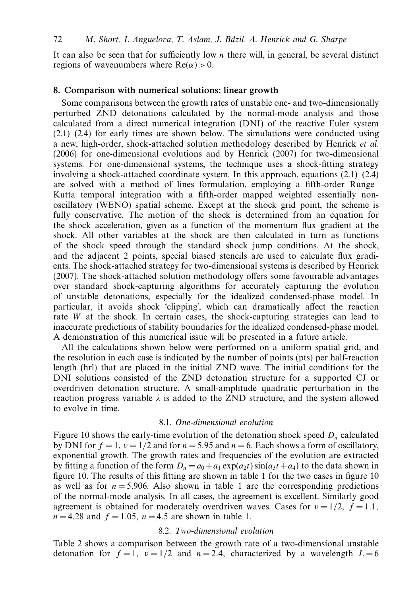It can also be seen that for sufficiently low *n* there will, in general, be several distinct regions of wavenumbers where  $Re(\alpha) > 0$ .

## *8. Comparison with numerical solutions: linear growth*

Some comparisons between the growth rates of unstable one- and two-dimensionally perturbed ZND detonations calculated by the normal-mode analysis and those calculated from a direct numerical integration (DNI) of the reactive Euler system  $(2.1)$ – $(2.4)$  for early times are shown below. The simulations were conducted using a new, high-order, shock-attached solution methodology described by Henrick et al. (2006) for one-dimensional evolutions and by Henrick (2007) for two-dimensional systems. For one-dimensional systems, the technique uses a shock-fitting strategy involving a shock-attached coordinate system. In this approach, equations  $(2.1)$ – $(2.4)$ are solved with a method of lines formulation, employing a fifth-order Runge– Kutta temporal integration with a fifth-order mapped weighted essentially nonoscillatory (WENO) spatial scheme. Except at the shock grid point, the scheme is fully conservative. The motion of the shock is determined from an equation for the shock acceleration, given as a function of the momentum flux gradient at the shock. All other variables at the shock are then calculated in turn as functions of the shock speed through the standard shock jump conditions. At the shock, and the adjacent 2 points, special biased stencils are used to calculate flux gradients. The shock-attached strategy for two-dimensional systems is described by Henrick (2007). The shock-attached solution methodology offers some favourable advantages over standard shock-capturing algorithms for accurately capturing the evolution of unstable detonations, especially for the idealized condensed-phase model. In particular, it avoids shock 'clipping', which can dramatically affect the reaction rate *W* at the shock. In certain cases, the shock-capturing strategies can lead to inaccurate predictions of stability boundaries for the idealized condensed-phase model. A demonstration of this numerical issue will be presented in a future article.

All the calculations shown below were performed on a uniform spatial grid, and the resolution in each case is indicated by the number of points (pts) per half-reaction length (hrl) that are placed in the initial ZND wave. The initial conditions for the DNI solutions consisted of the ZND detonation structure for a supported CJ or overdriven detonation structure. A small-amplitude quadratic perturbation in the reaction progress variable  $\lambda$  is added to the ZND structure, and the system allowed to evolve in time.

# 8.1. One-dimensional evolution

Figure 10 shows the early-time evolution of the detonation shock speed  $D_n$  calculated by DNI for  $f = 1$ ,  $v = 1/2$  and for  $n = 5.95$  and  $n = 6$ . Each shows a form of oscillatory, exponential growth. The growth rates and frequencies of the evolution are extracted by fitting a function of the form  $D_n = a_0 + a_1 \exp(a_2 t) \sin(a_3 t + a_4)$  to the data shown in figure 10. The results of this fitting are shown in table 1 for the two cases in figure 10 as well as for  $n = 5.906$ . Also shown in table 1 are the corresponding predictions of the normal-mode analysis. In all cases, the agreement is excellent. Similarly good agreement is obtained for moderately overdriven waves. Cases for  $v = 1/2$ ,  $f = 1.1$ ,  $n = 4.28$  and  $f = 1.05$ ,  $n = 4.5$  are shown in table 1.

# 8.2. Two-dimensional evolution

Table 2 shows a comparison between the growth rate of a two-dimensional unstable detonation for  $f = 1$ ,  $v = 1/2$  and  $n = 2.4$ , characterized by a wavelength  $L = 6$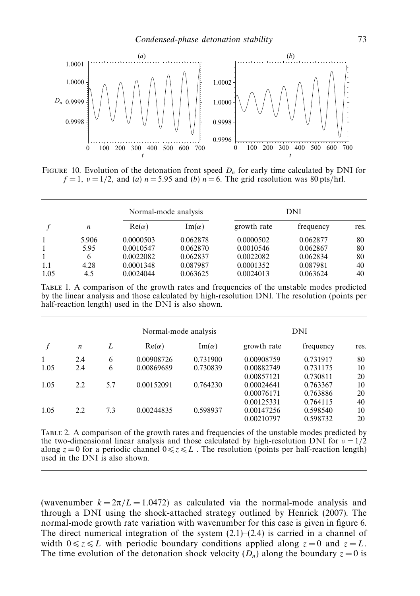

FIGURE 10. Evolution of the detonation front speed  $D_n$  for early time calculated by DNI for  $f = 1$ ,  $v = 1/2$ , and (a)  $n = 5.95$  and (b)  $n = 6$ . The grid resolution was 80 pts/hrl.

|              | n           | Normal-mode analysis   |                      | DNI                    |                      |          |
|--------------|-------------|------------------------|----------------------|------------------------|----------------------|----------|
|              |             | $Re(\alpha)$           | $Im(\alpha)$         | growth rate            | frequency            | res.     |
| 1            | 5.906       | 0.0000503              | 0.062878             | 0.0000502              | 0.062877             | 80       |
| 1            | 5.95        | 0.0010547              | 0.062870             | 0.0010546              | 0.062867             | 80       |
| $\mathbf{1}$ | 6           | 0.0022082              | 0.062837             | 0.0022082              | 0.062834             | 80       |
| 1.1<br>1.05  | 4.28<br>4.5 | 0.0001348<br>0.0024044 | 0.087987<br>0.063625 | 0.0001352<br>0.0024013 | 0.087981<br>0.063624 | 40<br>40 |

Table 1. A comparison of the growth rates and frequencies of the unstable modes predicted by the linear analysis and those calculated by high-resolution DNI. The resolution (points per half-reaction length) used in the DNI is also shown.

|      | $\boldsymbol{n}$ | L   | Normal-mode analysis |              | DNI         |           |      |
|------|------------------|-----|----------------------|--------------|-------------|-----------|------|
|      |                  |     | $Re(\alpha)$         | $Im(\alpha)$ | growth rate | frequency | res. |
|      | 2.4              | 6   | 0.00908726           | 0.731900     | 0.00908759  | 0.731917  | 80   |
| 1.05 | 2.4              | 6   | 0.00869689           | 0.730839     | 0.00882749  | 0.731175  | 10   |
|      |                  |     |                      |              | 0.00857121  | 0.730811  | 20   |
| 1.05 | 2.2              | 5.7 | 0.00152091           | 0.764230     | 0.00024641  | 0.763367  | 10   |
|      |                  |     |                      |              | 0.00076171  | 0.763886  | 20   |
|      |                  |     |                      |              | 0.00125331  | 0.764115  | 40   |
| 1.05 | 2.2              | 7.3 | 0.00244835           | 0.598937     | 0.00147256  | 0.598540  | 10   |
|      |                  |     |                      |              | 0.00210797  | 0.598732  | 20   |

Table 2. A comparison of the growth rates and frequencies of the unstable modes predicted by the two-dimensional linear analysis and those calculated by high-resolution DNI for  $v = 1/2$ along  $z = 0$  for a periodic channel  $0 \le z \le L$ . The resolution (points per half-reaction length) used in the DNI is also shown.

(wavenumber  $k = 2\pi/L = 1.0472$ ) as calculated via the normal-mode analysis and through a DNI using the shock-attached strategy outlined by Henrick (2007). The normal-mode growth rate variation with wavenumber for this case is given in figure 6. The direct numerical integration of the system  $(2.1)$ – $(2.4)$  is carried in a channel of width  $0 \le z \le L$  with periodic boundary conditions applied along  $z = 0$  and  $z = L$ . The time evolution of the detonation shock velocity  $(D_n)$  along the boundary  $z = 0$  is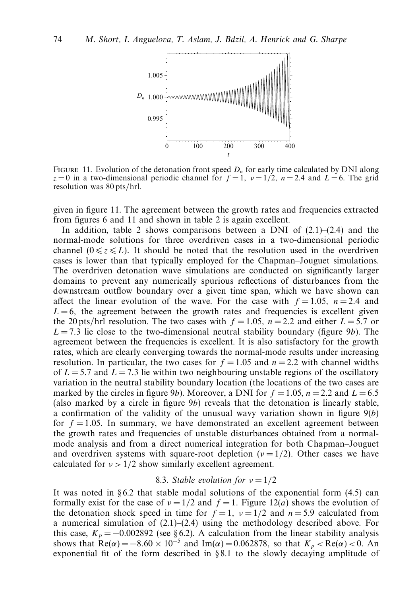

FIGURE 11. Evolution of the detonation front speed  $D_n$  for early time calculated by DNI along  $z = 0$  in a two-dimensional periodic channel for  $f = 1$ ,  $v = 1/2$ ,  $n = 2.4$  and  $L = 6$ . The grid resolution was 80 pts/hrl.

given in figure 11. The agreement between the growth rates and frequencies extracted from figures 6 and 11 and shown in table 2 is again excellent.

In addition, table 2 shows comparisons between a DNI of  $(2.1)$ – $(2.4)$  and the normal-mode solutions for three overdriven cases in a two-dimensional periodic channel  $(0 \le z \le L)$ . It should be noted that the resolution used in the overdriven cases is lower than that typically employed for the Chapman–Jouguet simulations. The overdriven detonation wave simulations are conducted on significantly larger domains to prevent any numerically spurious reflections of disturbances from the downstream outflow boundary over a given time span, which we have shown can affect the linear evolution of the wave. For the case with  $f = 1.05$ ,  $n = 2.4$  and  $L = 6$ , the agreement between the growth rates and frequencies is excellent given the 20 pts/hrl resolution. The two cases with  $f = 1.05$ ,  $n = 2.2$  and either  $L = 5.7$  or  $L = 7.3$  lie close to the two-dimensional neutral stability boundary (figure 9*b*). The agreement between the frequencies is excellent. It is also satisfactory for the growth rates, which are clearly converging towards the normal-mode results under increasing resolution. In particular, the two cases for  $f = 1.05$  and  $n = 2.2$  with channel widths of  $L = 5.7$  and  $L = 7.3$  lie within two neighbouring unstable regions of the oscillatory variation in the neutral stability boundary location (the locations of the two cases are marked by the circles in figure 9*b*). Moreover, a DNI for  $f = 1.05$ ,  $n = 2.2$  and  $L = 6.5$ (also marked by a circle in figure 9*b*) reveals that the detonation is linearly stable, a confirmation of the validity of the unusual wavy variation shown in figure 9(*b*) for  $f = 1.05$ . In summary, we have demonstrated an excellent agreement between the growth rates and frequencies of unstable disturbances obtained from a normalmode analysis and from a direct numerical integration for both Chapman–Jouguet and overdriven systems with square-root depletion  $(\nu = 1/2)$ . Other cases we have calculated for  $v > 1/2$  show similarly excellent agreement.

#### 8.3. Stable evolution for  $v = 1/2$

It was noted in §6.2 that stable modal solutions of the exponential form  $(4.5)$  can formally exist for the case of  $\nu = 1/2$  and  $f = 1$ . Figure 12(*a*) shows the evolution of the detonation shock speed in time for  $f = 1$ ,  $\nu = 1/2$  and  $n = 5.9$  calculated from a numerical simulation of  $(2.1)$ – $(2.4)$  using the methodology described above. For this case,  $K_p = -0.002892$  (see §6.2). A calculation from the linear stability analysis shows that  $\text{Re}(\alpha) = -8.60 \times 10^{-5}$  and  $\text{Im}(\alpha) = 0.062878$ , so that  $K_p < \text{Re}(\alpha) < 0$ . An exponential fit of the form described in  $\S 8.1$  to the slowly decaying amplitude of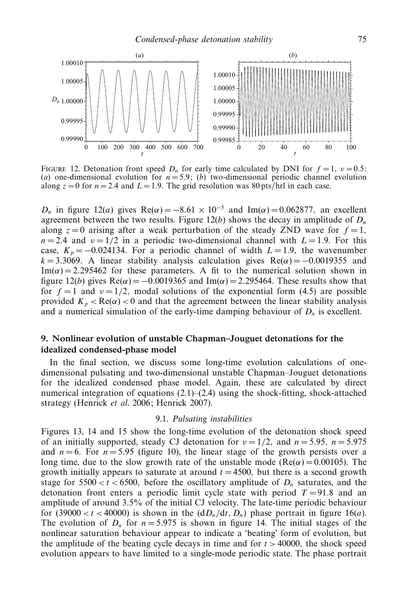

FIGURE 12. Detonation front speed  $D_n$  for early time calculated by DNI for  $f = 1$ ,  $v = 0.5$ : (a) one-dimensional evolution for  $n = 5.9$ ; (b) two-dimensional periodic channel evolution along  $z = 0$  for  $n = 2.4$  and  $L = 1.9$ . The grid resolution was 80 pts/hrl in each case.

*D<sub>n</sub>* in figure 12(*a*) gives Re( $\alpha$ ) = −8*.*61 × 10<sup>-5</sup> and Im( $\alpha$ ) = 0*.*062877, an excellent agreement between the two results. Figure  $12(b)$  shows the decay in amplitude of  $D_n$ along  $z = 0$  arising after a weak perturbation of the steady ZND wave for  $f = 1$ ,  $n = 2.4$  and  $v = 1/2$  in a periodic two-dimensional channel with  $L = 1.9$ . For this case,  $K_p = -0.024134$ . For a periodic channel of width  $L = 1.9$ , the wavenumber  $k = 3.3069$ . A linear stability analysis calculation gives Re( $\alpha$ ) = −0.0019355 and Im( $\alpha$ )=2.295462 for these parameters. A fit to the numerical solution shown in figure 12(*b*) gives  $Re(\alpha) = -0.0019365$  and  $Im(\alpha) = 2.295464$ . These results show that for  $f = 1$  and  $v = 1/2$ , modal solutions of the exponential form (4.5) are possible provided  $K_p < \text{Re}(\alpha) < 0$  and that the agreement between the linear stability analysis and a numerical simulation of the early-time damping behaviour of  $D_n$  is excellent.

# *9. Nonlinear evolution of unstable Chapman–Jouguet detonations for the idealized condensed-phase model*

In the final section, we discuss some long-time evolution calculations of onedimensional pulsating and two-dimensional unstable Chapman–Jouguet detonations for the idealized condensed phase model. Again, these are calculated by direct numerical integration of equations  $(2.1)$ – $(2.4)$  using the shock-fitting, shock-attached strategy (Henrick et al. 2006; Henrick 2007).

#### 9.1. Pulsating instabilities

Figures 13, 14 and 15 show the long-time evolution of the detonation shock speed of an initially supported, steady CJ detonation for  $\nu = 1/2$ , and  $n = 5.95$ ,  $n = 5.975$ and  $n = 6$ . For  $n = 5.95$  (figure 10), the linear stage of the growth persists over a long time, due to the slow growth rate of the unstable mode ( $Re(\alpha) = 0.00105$ ). The growth initially appears to saturate at around  $t = 4500$ , but there is a second growth stage for  $5500 < t < 6500$ , before the oscillatory amplitude of  $D_n$  saturates, and the detonation front enters a periodic limit cycle state with period  $T = 91.8$  and an amplitude of around 3*.*5% of the initial CJ velocity. The late-time periodic behaviour for (39000 <  $t$  < 40000) is shown in the  $(dD_n/dt, D_n)$  phase portrait in figure 16(*a*). The evolution of  $D_n$  for  $n = 5.975$  is shown in figure 14. The initial stages of the nonlinear saturation behaviour appear to indicate a 'beating' form of evolution, but the amplitude of the beating cycle decays in time and for  $t > 40000$ , the shock speed evolution appears to have limited to a single-mode periodic state. The phase portrait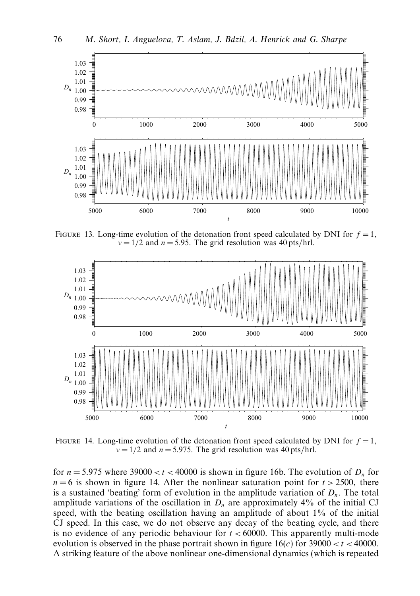

FIGURE 13. Long-time evolution of the detonation front speed calculated by DNI for  $f = 1$ ,  $\nu = 1/2$  and  $n = 5.95$ . The grid resolution was 40 pts/hrl.



FIGURE 14. Long-time evolution of the detonation front speed calculated by DNI for  $f = 1$ ,  $\nu = 1/2$  and  $n = 5.975$ . The grid resolution was 40 pts/hrl.

for  $n = 5.975$  where 39000  $< t < 40000$  is shown in figure 16b. The evolution of  $D_n$  for  $n = 6$  is shown in figure 14. After the nonlinear saturation point for  $t > 2500$ , there is a sustained 'beating' form of evolution in the amplitude variation of  $D_n$ . The total amplitude variations of the oscillation in  $D_n$  are approximately 4% of the initial CJ speed, with the beating oscillation having an amplitude of about 1% of the initial CJ speed. In this case, we do not observe any decay of the beating cycle, and there is no evidence of any periodic behaviour for  $t < 60000$ . This apparently multi-mode evolution is observed in the phase portrait shown in figure  $16(c)$  for  $39000 < t < 40000$ . A striking feature of the above nonlinear one-dimensional dynamics (which is repeated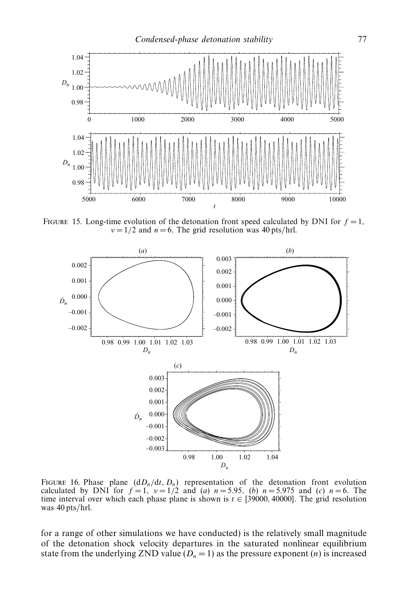

FIGURE 15. Long-time evolution of the detonation front speed calculated by DNI for  $f = 1$ ,  $\nu = 1/2$  and  $n = 6$ . The grid resolution was 40 pts/hrl.



FIGURE 16. Phase plane  $(dD_n/dt, D_n)$  representation of the detonation front evolution calculated by DNI for  $f = 1$ ,  $v = 1/2$  and (a)  $n = 5.95$ , (b)  $n = 5.975$  and (c)  $n = 6$ . The time interval over which each phase plane is shown is  $t \in [39000, 40000]$ . The grid resolution was 40 pts/hrl.

for a range of other simulations we have conducted) is the relatively small magnitude of the detonation shock velocity departures in the saturated nonlinear equilibrium state from the underlying ZND value  $(D_n = 1)$  as the pressure exponent  $(n)$  is increased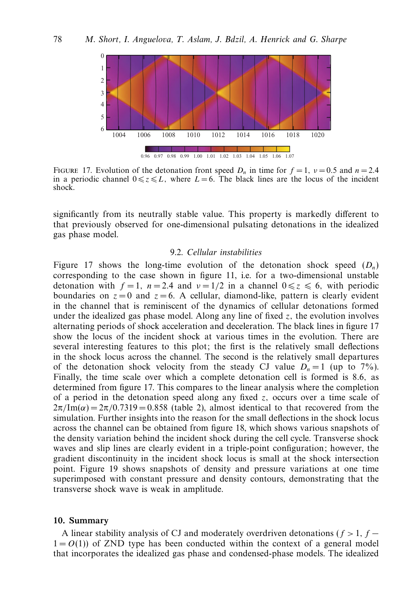

FIGURE 17. Evolution of the detonation front speed  $D_n$  in time for  $f = 1$ ,  $v = 0.5$  and  $n = 2.4$ in a periodic channel  $0 \le z \le L$ , where  $L = 6$ . The black lines are the locus of the incident shock.

significantly from its neutrally stable value. This property is markedly different to that previously observed for one-dimensional pulsating detonations in the idealized gas phase model.

# 9.2. Cellular instabilities

Figure 17 shows the long-time evolution of the detonation shock speed (*Dn*) corresponding to the case shown in figure 11, i.e. for a two-dimensional unstable detonation with  $f = 1$ ,  $n = 2.4$  and  $v = 1/2$  in a channel  $0 \le z \le 6$ , with periodic boundaries on  $z = 0$  and  $z = 6$ . A cellular, diamond-like, pattern is clearly evident in the channel that is reminiscent of the dynamics of cellular detonations formed under the idealized gas phase model. Along any line of fixed *z,* the evolution involves alternating periods of shock acceleration and deceleration. The black lines in figure 17 show the locus of the incident shock at various times in the evolution. There are several interesting features to this plot; the first is the relatively small deflections in the shock locus across the channel. The second is the relatively small departures of the detonation shock velocity from the steady CJ value  $D_n = 1$  (up to 7%). Finally, the time scale over which a complete detonation cell is formed is 8*.*6*,* as determined from figure 17. This compares to the linear analysis where the completion of a period in the detonation speed along any fixed *z,* occurs over a time scale of  $2\pi/\text{Im}(\alpha) = 2\pi/0.7319 = 0.858$  (table 2), almost identical to that recovered from the simulation. Further insights into the reason for the small deflections in the shock locus across the channel can be obtained from figure 18, which shows various snapshots of the density variation behind the incident shock during the cell cycle. Transverse shock waves and slip lines are clearly evident in a triple-point configuration; however, the gradient discontinuity in the incident shock locus is small at the shock intersection point. Figure 19 shows snapshots of density and pressure variations at one time superimposed with constant pressure and density contours, demonstrating that the transverse shock wave is weak in amplitude.

#### *10. Summary*

A linear stability analysis of CJ and moderately overdriven detonations ( $f > 1$ ,  $f 1 = O(1)$  of ZND type has been conducted within the context of a general model that incorporates the idealized gas phase and condensed-phase models. The idealized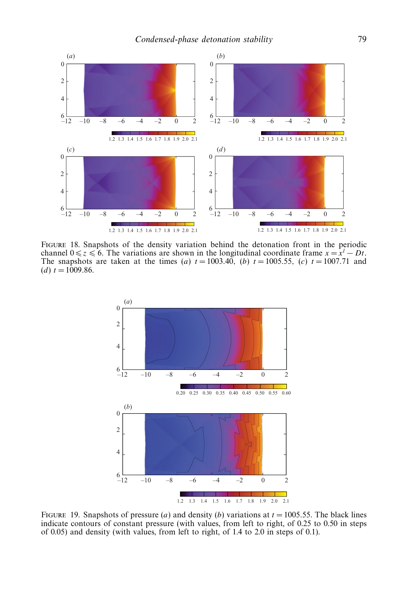

Figure 18. Snapshots of the density variation behind the detonation front in the periodic channel  $0 \le z \le 6$ . The variations are shown in the longitudinal coordinate frame  $x = x^l - Dt$ . The snapshots are taken at the times (*a*)  $t = 1003.40$ , (*b*)  $t = 1005.55$ , (*c*)  $t = 1007.71$  and  $(d) t = 1009.86.$ 



FIGURE 19. Snapshots of pressure (*a*) and density (*b*) variations at  $t = 1005.55$ . The black lines indicate contours of constant pressure (with values, from left to right, of 0.25 to 0.50 in steps of 0.05) and density (with values, from left to right, of 1.4 to 2.0 in steps of 0.1).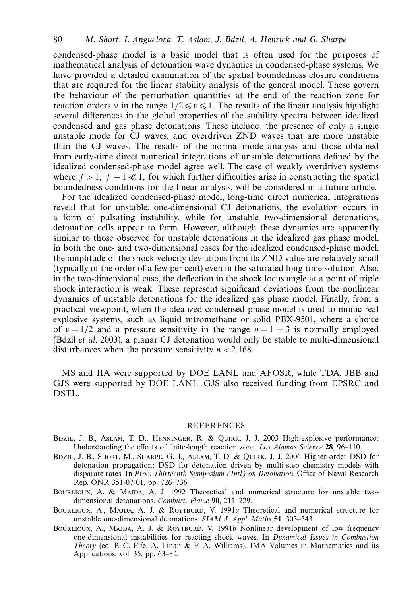condensed-phase model is a basic model that is often used for the purposes of mathematical analysis of detonation wave dynamics in condensed-phase systems. We have provided a detailed examination of the spatial boundedness closure conditions that are required for the linear stability analysis of the general model. These govern the behaviour of the perturbation quantities at the end of the reaction zone for reaction orders *ν* in the range  $1/2 \le v \le 1$ . The results of the linear analysis highlight several differences in the global properties of the stability spectra between idealized condensed and gas phase detonations. These include: the presence of only a single unstable mode for CJ waves, and overdriven ZND waves that are more unstable than the CJ waves. The results of the normal-mode analysis and those obtained from early-time direct numerical integrations of unstable detonations defined by the idealized condensed-phase model agree well. The case of weakly overdriven systems where  $f > 1$ ,  $f - 1 \ll 1$ , for which further difficulties arise in constructing the spatial boundedness conditions for the linear analysis, will be considered in a future article.

For the idealized condensed-phase model, long-time direct numerical integrations reveal that for unstable, one-dimensional CJ detonations, the evolution occurs in a form of pulsating instability, while for unstable two-dimensional detonations, detonation cells appear to form. However, although these dynamics are apparently similar to those observed for unstable detonations in the idealized gas phase model, in both the one- and two-dimensional cases for the idealized condensed-phase model, the amplitude of the shock velocity deviations from its ZND value are relatively small (typically of the order of a few per cent) even in the saturated long-time solution. Also, in the two-dimensional case, the deflection in the shock locus angle at a point of triple shock interaction is weak. These represent significant deviations from the nonlinear dynamics of unstable detonations for the idealized gas phase model. Finally, from a practical viewpoint, when the idealized condensed-phase model is used to mimic real explosive systems, such as liquid nitromethane or solid PBX-9501, where a choice of  $\nu = 1/2$  and a pressure sensitivity in the range  $n = 1 - 3$  is normally employed (Bdzil et al. 2003), a planar CJ detonation would only be stable to multi-dimensional disturbances when the pressure sensitivity *n <* 2*.*168*.*

MS and IIA were supported by DOE LANL and AFOSR, while TDA, JBB and GJS were supported by DOE LANL. GJS also received funding from EPSRC and DSTL.

#### REFERENCES

- Bdzil, J. B., Aslam, T. D., Henninger, R. & Quirk, J. J. 2003 High-explosive performance: Understanding the effects of finite-length reaction zone. Los Alamos Science **28**, 96–110.
- Bdzil, J. B., Short, M., Sharpe, G. J., Aslam, T. D. & Quirk, J. J. 2006 Higher-order DSD for detonation propagation: DSD for detonation driven by multi-step chemistry models with disparate rates. In Proc. Thirteenth Symposium (Intl) on Detonation. Office of Naval Research Rep. ONR 351-07-01, pp. 726–736.
- BOURLIOUX, A. & MAJDA, A. J. 1992 Theoretical and numerical structure for unstable twodimensional detonations. Combust. Flame **90**, 211–229.
- BOURLIOUX, A., MAJDA, A. J. & ROYTBURD, V. 1991a Theoretical and numerical structure for unstable one-dimensional detonations. SIAM J. Appl. Maths **51**, 303–343.
- BOURLIOUX, A., MAJDA, A. J. & ROYTBURD, V. 1991b Nonlinear development of low frequency one-dimensional instabilities for reacting shock waves. In Dynamical Issues in Combustion Theory (ed. P. C. Fife, A. Linan  $\&$  F. A. Williams). IMA Volumes in Mathematics and its Applications, vol. 35, pp. 63–82.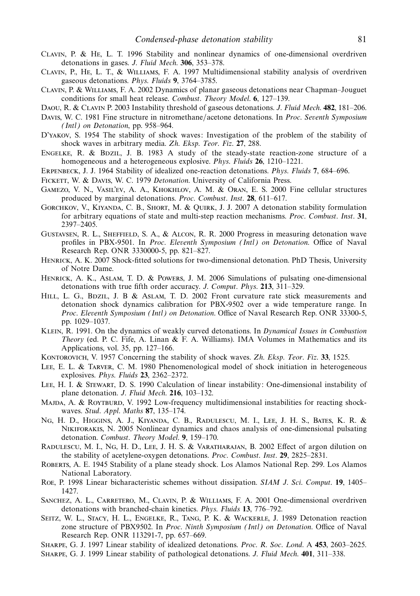- Clavin, P. & He, L. T. 1996 Stability and nonlinear dynamics of one-dimensional overdriven detonations in gases. J. Fluid Mech. **306**, 353–378.
- Clavin, P., He, L. T., & Williams, F. A. 1997 Multidimensional stability analysis of overdriven gaseous detonations. Phys. Fluids **9**, 3764–3785.
- Clavin, P. & Williams, F. A. 2002 Dynamics of planar gaseous detonations near Chapman–Jouguet conditions for small heat release. Combust. Theory Model. **6**, 127–139.
- Daou, R. & Clavin P. 2003 Instability threshold of gaseous detonations. J. Fluid Mech. **482**, 181–206.
- Davis, W. C. 1981 Fine structure in nitromethane/acetone detonations. In Proc. Seventh Symposium (Intl) on Detonation, pp. 958–964.
- D'yakov, S. 1954 The stability of shock waves: Investigation of the problem of the stability of shock waves in arbitrary media. Zh. Eksp. Teor. Fiz. **27**, 288.
- ENGELKE, R. & BDZIL, J. B. 1983 A study of the steady-state reaction-zone structure of a homogeneous and a heterogeneous explosive. Phys. Fluids **26**, 1210–1221.
- Erpenbeck, J. J. 1964 Stability of idealized one-reaction detonations. Phys. Fluids **7**, 684–696.
- FICKETT, W. & DAVIS, W. C. 1979 Detonation. University of California Press.
- Gamezo, V. N., Vasil'ev, A. A., Khokhlov, A. M. & Oran, E. S. 2000 Fine cellular structures produced by marginal detonations. Proc. Combust. Inst. **28**, 611–617.
- Gorchkov, V., Kiyanda, C. B., Short, M. & Quirk, J. J. 2007 A detonation stability formulation for arbitrary equations of state and multi-step reaction mechanisms. Proc. Combust. Inst. **31**, 2397–2405.
- Gustavsen, R. L., Sheffield, S. A., & Alcon, R. R. 2000 Progress in measuring detonation wave profiles in PBX-9501. In Proc. Eleventh Symposium (Intl) on Detonation. Office of Naval Research Rep. ONR 3330000-5, pp. 821–827.
- Henrick, A. K. 2007 Shock-fitted solutions for two-dimensional detonation. PhD Thesis, University of Notre Dame.
- Henrick, A. K., Aslam, T. D. & Powers, J. M. 2006 Simulations of pulsating one-dimensional detonations with true fifth order accuracy. J. Comput. Phys. **213**, 311–329.
- HILL, L. G., BDZIL, J. B & ASLAM, T. D. 2002 Front curvature rate stick measurements and detonation shock dynamics calibration for PBX-9502 over a wide temperature range. In Proc. Eleventh Symposium (Intl) on Detonation. Office of Naval Research Rep. ONR 33300-5, pp. 1029–1037.
- Klein, R. 1991. On the dynamics of weakly curved detonations. In Dynamical Issues in Combustion Theory (ed. P. C. Fife, A. Linan & F. A. Williams). IMA Volumes in Mathematics and its Applications, vol. 35, pp. 127–166.
- Kontorovich, V. 1957 Concerning the stability of shock waves. Zh. Eksp. Teor. Fiz. **33**, 1525.
- Lee, E. L. & Tarver, C. M. 1980 Phenomenological model of shock initiation in heterogeneous explosives. Phys. Fluids **23**, 2362–2372.
- Lee, H. I. & Stewart, D. S. 1990 Calculation of linear instability: One-dimensional instability of plane detonation. J. Fluid Mech. **216**, 103–132.
- MAJDA, A. & ROYTBURD, V. 1992 Low-frequency multidimensional instabilities for reacting shockwaves. Stud. Appl. Maths **87**, 135–174.
- Ng, H. D., Higgins, A. J., Kiyanda, C. B., Radulescu, M. I., Lee, J. H. S., Bates, K. R. & Nikiforakis, N. 2005 Nonlinear dynamics and chaos analysis of one-dimensional pulsating detonation. Combust. Theory Model. **9**, 159–170.
- Radulescu, M. I., Ng, H. D., Lee, J. H. S. & Varatharajan, B. 2002 Effect of argon dilution on the stability of acetylene-oxygen detonations. Proc. Combust. Inst. **29**, 2825–2831.
- Roberts, A. E. 1945 Stability of a plane steady shock. Los Alamos National Rep. 299. Los Alamos National Laboratory.
- Roe, P. 1998 Linear bicharacteristic schemes without dissipation. SIAM J. Sci. Comput. **19**, 1405– 1427.
- Sanchez, A. L., Carretero, M., Clavin, P. & Williams, F. A. 2001 One-dimensional overdriven detonations with branched-chain kinetics. Phys. Fluids **13**, 776–792.
- Seitz, W. L., Stacy, H. L., Engelke, R., Tang, P. K. & Wackerle, J. 1989 Detonation reaction zone structure of PBX9502. In Proc. Ninth Symposium (Intl) on Detonation. Office of Naval Research Rep. ONR 113291-7, pp. 657–669.

Sharpe, G. J. 1997 Linear stability of idealized detonations. Proc. R. Soc. Lond. A **453**, 2603–2625.

Sharpe, G. J. 1999 Linear stability of pathological detonations. J. Fluid Mech. **401**, 311–338.